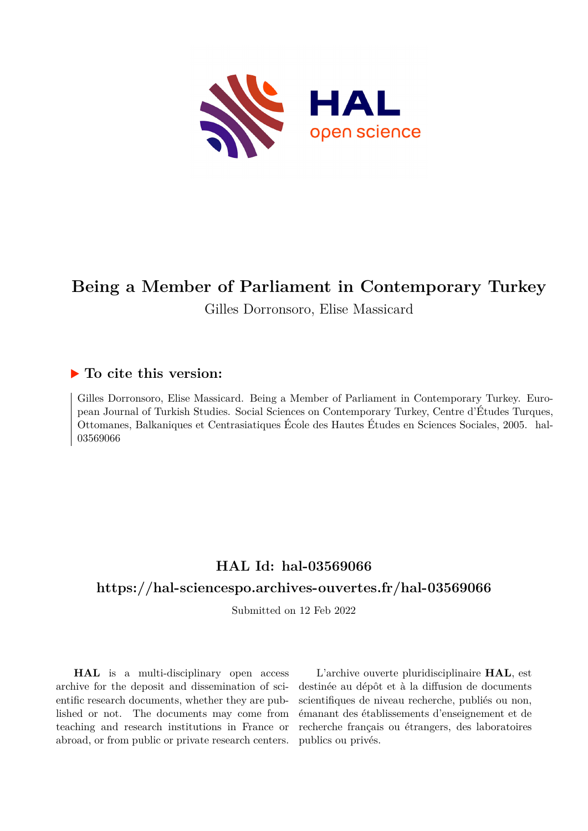

# **Being a Member of Parliament in Contemporary Turkey**

Gilles Dorronsoro, Elise Massicard

## **To cite this version:**

Gilles Dorronsoro, Elise Massicard. Being a Member of Parliament in Contemporary Turkey. European Journal of Turkish Studies. Social Sciences on Contemporary Turkey, Centre d'Études Turques, Ottomanes, Balkaniques et Centrasiatiques École des Hautes Études en Sciences Sociales, 2005. hal-03569066

## **HAL Id: hal-03569066**

## **<https://hal-sciencespo.archives-ouvertes.fr/hal-03569066>**

Submitted on 12 Feb 2022

**HAL** is a multi-disciplinary open access archive for the deposit and dissemination of scientific research documents, whether they are published or not. The documents may come from teaching and research institutions in France or abroad, or from public or private research centers.

L'archive ouverte pluridisciplinaire **HAL**, est destinée au dépôt et à la diffusion de documents scientifiques de niveau recherche, publiés ou non, émanant des établissements d'enseignement et de recherche français ou étrangers, des laboratoires publics ou privés.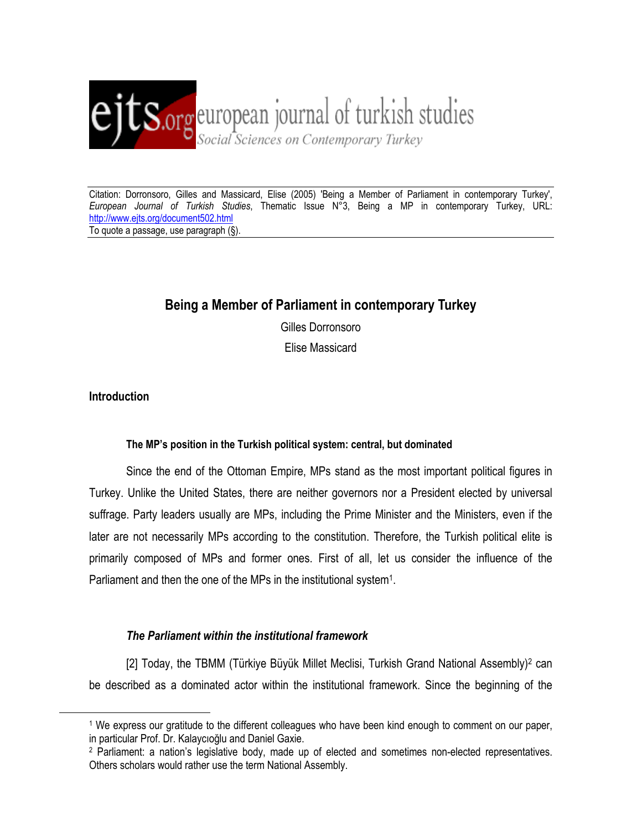

## **Being a Member of Parliament in contemporary Turkey**

Gilles Dorronsoro Elise Massicard

**Introduction** 

 $\overline{a}$ 

### **The MP's position in the Turkish political system: central, but dominated**

Since the end of the Ottoman Empire, MPs stand as the most important political figures in Turkey. Unlike the United States, there are neither governors nor a President elected by universal suffrage. Party leaders usually are MPs, including the Prime Minister and the Ministers, even if the later are not necessarily MPs according to the constitution. Therefore, the Turkish political elite is primarily composed of MPs and former ones. First of all, let us consider the influence of the Parliament and then the one of the MPs in the institutional system<sup>1</sup>.

## *The Parliament within the institutional framework*

[2] Today, the TBMM (Türkiye Büyük Millet Meclisi, Turkish Grand National Assembly)2 can be described as a dominated actor within the institutional framework. Since the beginning of the

<sup>1</sup> We express our gratitude to the different colleagues who have been kind enough to comment on our paper, in particular Prof. Dr. Kalaycıoğlu and Daniel Gaxie.

<sup>2</sup> Parliament: a nation's legislative body, made up of elected and sometimes non-elected representatives. Others scholars would rather use the term National Assembly.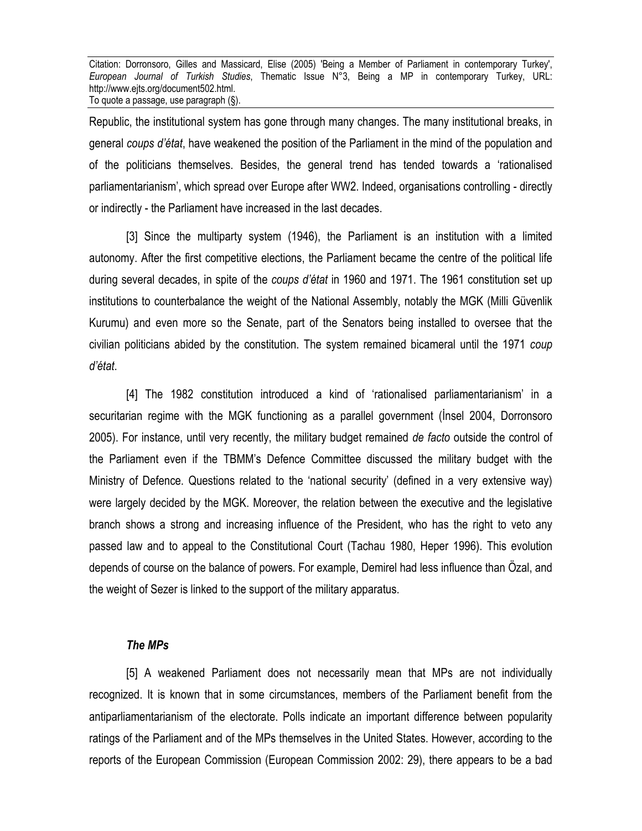Republic, the institutional system has gone through many changes. The many institutional breaks, in general *coups d'état*, have weakened the position of the Parliament in the mind of the population and of the politicians themselves. Besides, the general trend has tended towards a 'rationalised parliamentarianism', which spread over Europe after WW2. Indeed, organisations controlling - directly or indirectly - the Parliament have increased in the last decades.

[3] Since the multiparty system (1946), the Parliament is an institution with a limited autonomy. After the first competitive elections, the Parliament became the centre of the political life during several decades, in spite of the *coups d'état* in 1960 and 1971. The 1961 constitution set up institutions to counterbalance the weight of the National Assembly, notably the MGK (Milli Güvenlik Kurumu) and even more so the Senate, part of the Senators being installed to oversee that the civilian politicians abided by the constitution. The system remained bicameral until the 1971 *coup d'état*.

[4] The 1982 constitution introduced a kind of 'rationalised parliamentarianism' in a securitarian regime with the MGK functioning as a parallel government (İnsel 2004, Dorronsoro 2005). For instance, until very recently, the military budget remained *de facto* outside the control of the Parliament even if the TBMM's Defence Committee discussed the military budget with the Ministry of Defence. Questions related to the 'national security' (defined in a very extensive way) were largely decided by the MGK. Moreover, the relation between the executive and the legislative branch shows a strong and increasing influence of the President, who has the right to veto any passed law and to appeal to the Constitutional Court (Tachau 1980, Heper 1996). This evolution depends of course on the balance of powers. For example, Demirel had less influence than Özal, and the weight of Sezer is linked to the support of the military apparatus.

#### *The MPs*

[5] A weakened Parliament does not necessarily mean that MPs are not individually recognized. It is known that in some circumstances, members of the Parliament benefit from the antiparliamentarianism of the electorate. Polls indicate an important difference between popularity ratings of the Parliament and of the MPs themselves in the United States. However, according to the reports of the European Commission (European Commission 2002: 29), there appears to be a bad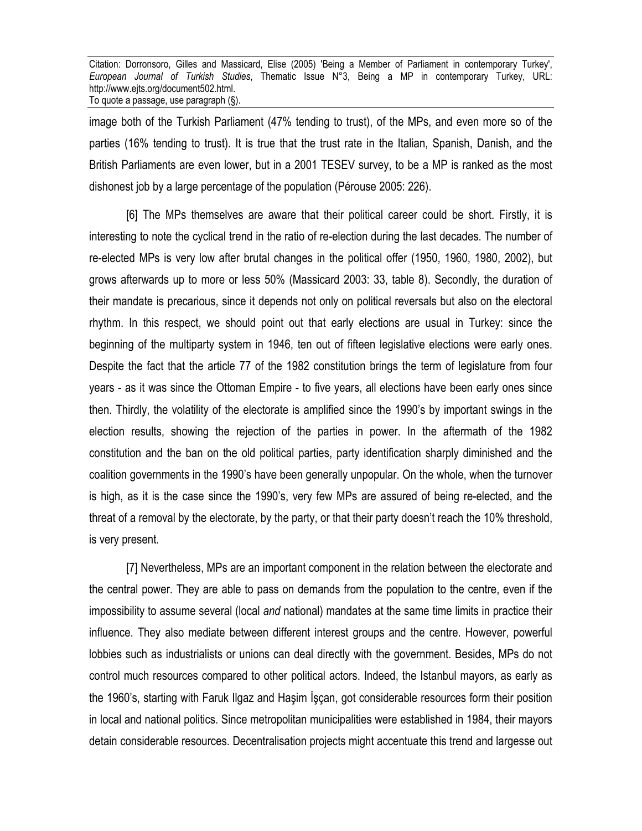image both of the Turkish Parliament (47% tending to trust), of the MPs, and even more so of the parties (16% tending to trust). It is true that the trust rate in the Italian, Spanish, Danish, and the British Parliaments are even lower, but in a 2001 TESEV survey, to be a MP is ranked as the most dishonest job by a large percentage of the population (Pérouse 2005: 226).

[6] The MPs themselves are aware that their political career could be short. Firstly, it is interesting to note the cyclical trend in the ratio of re-election during the last decades. The number of re-elected MPs is very low after brutal changes in the political offer (1950, 1960, 1980, 2002), but grows afterwards up to more or less 50% (Massicard 2003: 33, table 8). Secondly, the duration of their mandate is precarious, since it depends not only on political reversals but also on the electoral rhythm. In this respect, we should point out that early elections are usual in Turkey: since the beginning of the multiparty system in 1946, ten out of fifteen legislative elections were early ones. Despite the fact that the article 77 of the 1982 constitution brings the term of legislature from four years - as it was since the Ottoman Empire - to five years, all elections have been early ones since then. Thirdly, the volatility of the electorate is amplified since the 1990's by important swings in the election results, showing the rejection of the parties in power. In the aftermath of the 1982 constitution and the ban on the old political parties, party identification sharply diminished and the coalition governments in the 1990's have been generally unpopular. On the whole, when the turnover is high, as it is the case since the 1990's, very few MPs are assured of being re-elected, and the threat of a removal by the electorate, by the party, or that their party doesn't reach the 10% threshold, is very present.

[7] Nevertheless, MPs are an important component in the relation between the electorate and the central power. They are able to pass on demands from the population to the centre, even if the impossibility to assume several (local *and* national) mandates at the same time limits in practice their influence. They also mediate between different interest groups and the centre. However, powerful lobbies such as industrialists or unions can deal directly with the government. Besides, MPs do not control much resources compared to other political actors. Indeed, the Istanbul mayors, as early as the 1960's, starting with Faruk Ilgaz and Haşim İşçan, got considerable resources form their position in local and national politics. Since metropolitan municipalities were established in 1984, their mayors detain considerable resources. Decentralisation projects might accentuate this trend and largesse out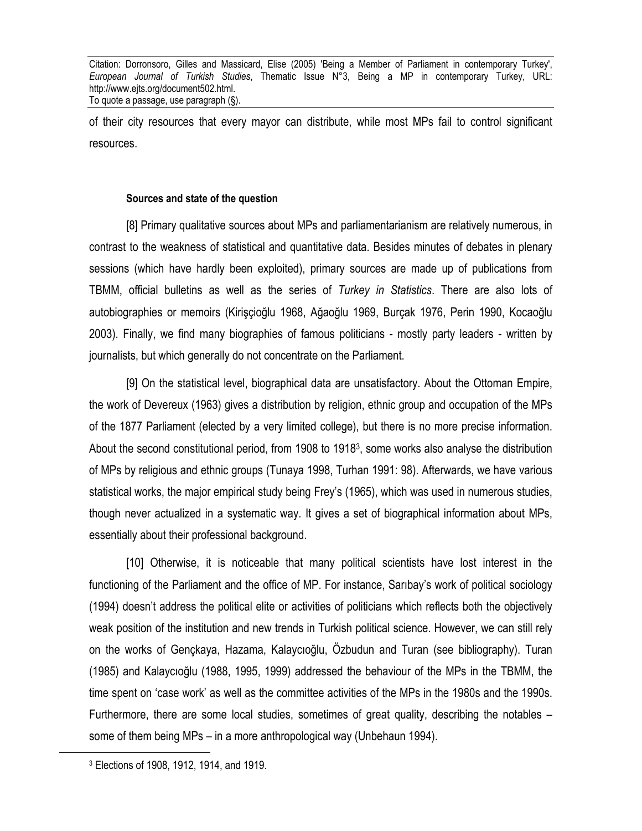of their city resources that every mayor can distribute, while most MPs fail to control significant resources.

#### **Sources and state of the question**

[8] Primary qualitative sources about MPs and parliamentarianism are relatively numerous, in contrast to the weakness of statistical and quantitative data. Besides minutes of debates in plenary sessions (which have hardly been exploited), primary sources are made up of publications from TBMM, official bulletins as well as the series of *Turkey in Statistics*. There are also lots of autobiographies or memoirs (Kirişçioğlu 1968, Ağaoğlu 1969, Burçak 1976, Perin 1990, Kocaoğlu 2003). Finally, we find many biographies of famous politicians - mostly party leaders - written by journalists, but which generally do not concentrate on the Parliament.

[9] On the statistical level, biographical data are unsatisfactory. About the Ottoman Empire, the work of Devereux (1963) gives a distribution by religion, ethnic group and occupation of the MPs of the 1877 Parliament (elected by a very limited college), but there is no more precise information. About the second constitutional period, from 1908 to 19183, some works also analyse the distribution of MPs by religious and ethnic groups (Tunaya 1998, Turhan 1991: 98). Afterwards, we have various statistical works, the major empirical study being Frey's (1965), which was used in numerous studies, though never actualized in a systematic way. It gives a set of biographical information about MPs, essentially about their professional background.

[10] Otherwise, it is noticeable that many political scientists have lost interest in the functioning of the Parliament and the office of MP. For instance, Sarıbay's work of political sociology (1994) doesn't address the political elite or activities of politicians which reflects both the objectively weak position of the institution and new trends in Turkish political science. However, we can still rely on the works of Gençkaya, Hazama, Kalaycıoğlu, Özbudun and Turan (see bibliography). Turan (1985) and Kalaycıoğlu (1988, 1995, 1999) addressed the behaviour of the MPs in the TBMM, the time spent on 'case work' as well as the committee activities of the MPs in the 1980s and the 1990s. Furthermore, there are some local studies, sometimes of great quality, describing the notables – some of them being MPs – in a more anthropological way (Unbehaun 1994).

 $\overline{a}$ 

<sup>3</sup> Elections of 1908, 1912, 1914, and 1919.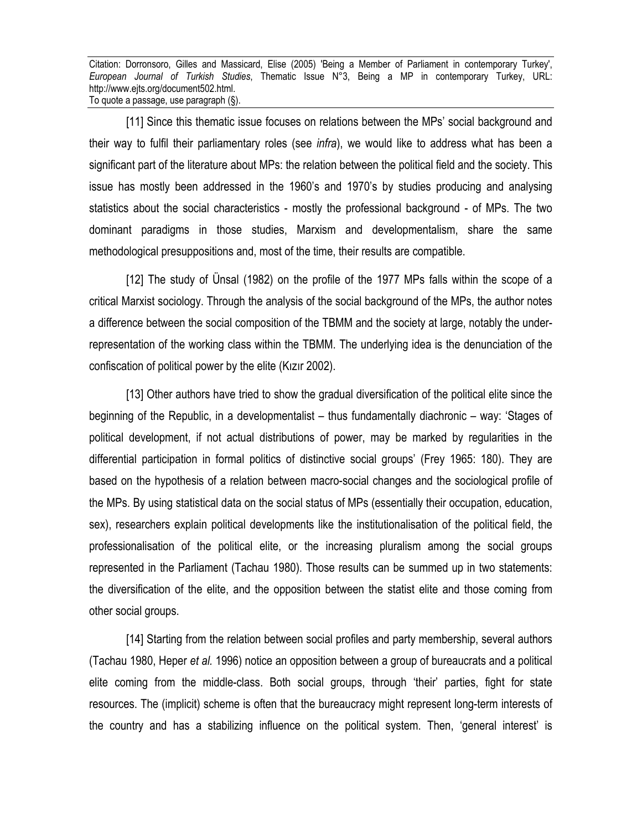[11] Since this thematic issue focuses on relations between the MPs' social background and their way to fulfil their parliamentary roles (see *infra*), we would like to address what has been a significant part of the literature about MPs: the relation between the political field and the society. This issue has mostly been addressed in the 1960's and 1970's by studies producing and analysing statistics about the social characteristics - mostly the professional background - of MPs. The two dominant paradigms in those studies, Marxism and developmentalism, share the same methodological presuppositions and, most of the time, their results are compatible.

[12] The study of Ünsal (1982) on the profile of the 1977 MPs falls within the scope of a critical Marxist sociology. Through the analysis of the social background of the MPs, the author notes a difference between the social composition of the TBMM and the society at large, notably the underrepresentation of the working class within the TBMM. The underlying idea is the denunciation of the confiscation of political power by the elite (Kızır 2002).

[13] Other authors have tried to show the gradual diversification of the political elite since the beginning of the Republic, in a developmentalist – thus fundamentally diachronic – way: 'Stages of political development, if not actual distributions of power, may be marked by regularities in the differential participation in formal politics of distinctive social groups' (Frey 1965: 180). They are based on the hypothesis of a relation between macro-social changes and the sociological profile of the MPs. By using statistical data on the social status of MPs (essentially their occupation, education, sex), researchers explain political developments like the institutionalisation of the political field, the professionalisation of the political elite, or the increasing pluralism among the social groups represented in the Parliament (Tachau 1980). Those results can be summed up in two statements: the diversification of the elite, and the opposition between the statist elite and those coming from other social groups.

[14] Starting from the relation between social profiles and party membership, several authors (Tachau 1980, Heper *et al.* 1996) notice an opposition between a group of bureaucrats and a political elite coming from the middle-class. Both social groups, through 'their' parties, fight for state resources. The (implicit) scheme is often that the bureaucracy might represent long-term interests of the country and has a stabilizing influence on the political system. Then, 'general interest' is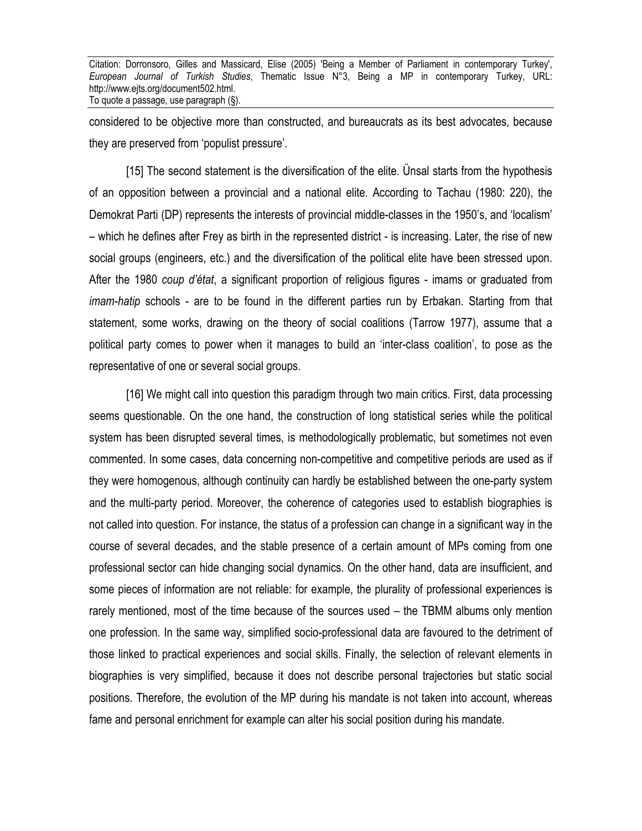considered to be objective more than constructed, and bureaucrats as its best advocates, because they are preserved from 'populist pressure'.

[15] The second statement is the diversification of the elite. Ünsal starts from the hypothesis of an opposition between a provincial and a national elite. According to Tachau (1980: 220), the Demokrat Parti (DP) represents the interests of provincial middle-classes in the 1950's, and 'localism' – which he defines after Frey as birth in the represented district - is increasing. Later, the rise of new social groups (engineers, etc.) and the diversification of the political elite have been stressed upon. After the 1980 *coup d'état*, a significant proportion of religious figures - imams or graduated from *imam-hatip* schools - are to be found in the different parties run by Erbakan. Starting from that statement, some works, drawing on the theory of social coalitions (Tarrow 1977), assume that a political party comes to power when it manages to build an 'inter-class coalition', to pose as the representative of one or several social groups.

[16] We might call into question this paradigm through two main critics. First, data processing seems questionable. On the one hand, the construction of long statistical series while the political system has been disrupted several times, is methodologically problematic, but sometimes not even commented. In some cases, data concerning non-competitive and competitive periods are used as if they were homogenous, although continuity can hardly be established between the one-party system and the multi-party period. Moreover, the coherence of categories used to establish biographies is not called into question. For instance, the status of a profession can change in a significant way in the course of several decades, and the stable presence of a certain amount of MPs coming from one professional sector can hide changing social dynamics. On the other hand, data are insufficient, and some pieces of information are not reliable: for example, the plurality of professional experiences is rarely mentioned, most of the time because of the sources used – the TBMM albums only mention one profession. In the same way, simplified socio-professional data are favoured to the detriment of those linked to practical experiences and social skills. Finally, the selection of relevant elements in biographies is very simplified, because it does not describe personal trajectories but static social positions. Therefore, the evolution of the MP during his mandate is not taken into account, whereas fame and personal enrichment for example can alter his social position during his mandate.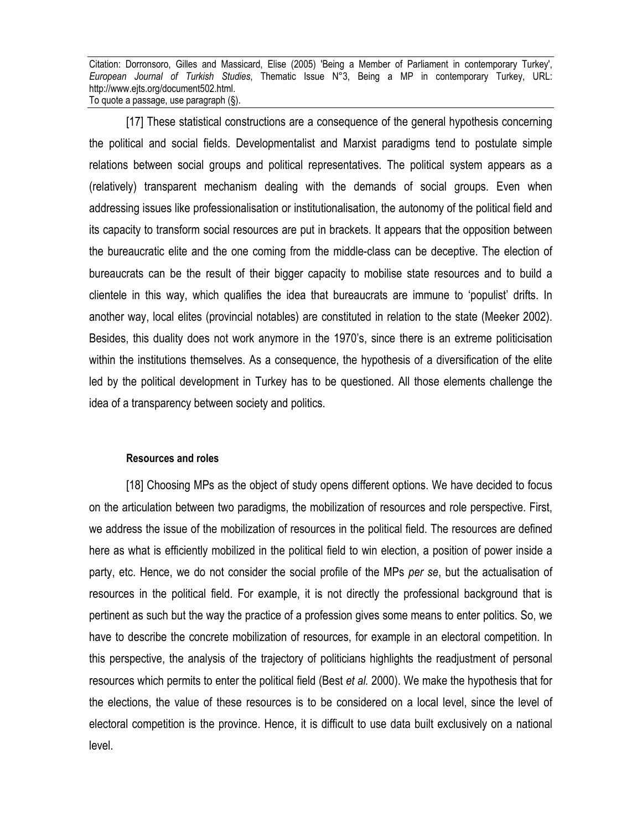[17] These statistical constructions are a consequence of the general hypothesis concerning the political and social fields. Developmentalist and Marxist paradigms tend to postulate simple relations between social groups and political representatives. The political system appears as a (relatively) transparent mechanism dealing with the demands of social groups. Even when addressing issues like professionalisation or institutionalisation, the autonomy of the political field and its capacity to transform social resources are put in brackets. It appears that the opposition between the bureaucratic elite and the one coming from the middle-class can be deceptive. The election of bureaucrats can be the result of their bigger capacity to mobilise state resources and to build a clientele in this way, which qualifies the idea that bureaucrats are immune to 'populist' drifts. In another way, local elites (provincial notables) are constituted in relation to the state (Meeker 2002). Besides, this duality does not work anymore in the 1970's, since there is an extreme politicisation within the institutions themselves. As a consequence, the hypothesis of a diversification of the elite led by the political development in Turkey has to be questioned. All those elements challenge the idea of a transparency between society and politics.

#### **Resources and roles**

[18] Choosing MPs as the object of study opens different options. We have decided to focus on the articulation between two paradigms, the mobilization of resources and role perspective. First, we address the issue of the mobilization of resources in the political field. The resources are defined here as what is efficiently mobilized in the political field to win election, a position of power inside a party, etc. Hence, we do not consider the social profile of the MPs *per se*, but the actualisation of resources in the political field. For example, it is not directly the professional background that is pertinent as such but the way the practice of a profession gives some means to enter politics. So, we have to describe the concrete mobilization of resources, for example in an electoral competition. In this perspective, the analysis of the trajectory of politicians highlights the readjustment of personal resources which permits to enter the political field (Best *et al.* 2000). We make the hypothesis that for the elections, the value of these resources is to be considered on a local level, since the level of electoral competition is the province. Hence, it is difficult to use data built exclusively on a national level.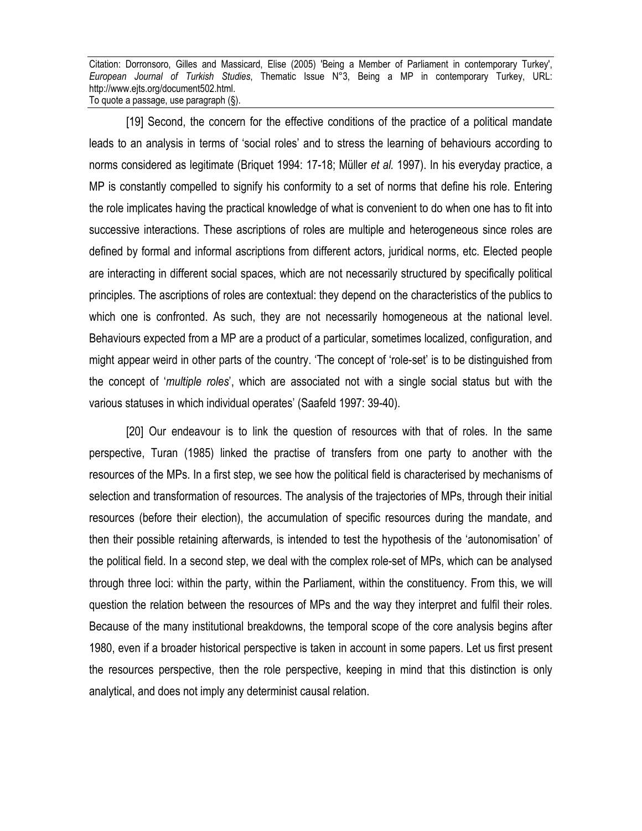[19] Second, the concern for the effective conditions of the practice of a political mandate leads to an analysis in terms of 'social roles' and to stress the learning of behaviours according to norms considered as legitimate (Briquet 1994: 17-18; Müller *et al.* 1997). In his everyday practice, a MP is constantly compelled to signify his conformity to a set of norms that define his role. Entering the role implicates having the practical knowledge of what is convenient to do when one has to fit into successive interactions. These ascriptions of roles are multiple and heterogeneous since roles are defined by formal and informal ascriptions from different actors, juridical norms, etc. Elected people are interacting in different social spaces, which are not necessarily structured by specifically political principles. The ascriptions of roles are contextual: they depend on the characteristics of the publics to which one is confronted. As such, they are not necessarily homogeneous at the national level. Behaviours expected from a MP are a product of a particular, sometimes localized, configuration, and might appear weird in other parts of the country. 'The concept of 'role-set' is to be distinguished from the concept of '*multiple roles*', which are associated not with a single social status but with the various statuses in which individual operates' (Saafeld 1997: 39-40).

[20] Our endeavour is to link the question of resources with that of roles. In the same perspective, Turan (1985) linked the practise of transfers from one party to another with the resources of the MPs. In a first step, we see how the political field is characterised by mechanisms of selection and transformation of resources. The analysis of the trajectories of MPs, through their initial resources (before their election), the accumulation of specific resources during the mandate, and then their possible retaining afterwards, is intended to test the hypothesis of the 'autonomisation' of the political field. In a second step, we deal with the complex role-set of MPs, which can be analysed through three loci: within the party, within the Parliament, within the constituency. From this, we will question the relation between the resources of MPs and the way they interpret and fulfil their roles. Because of the many institutional breakdowns, the temporal scope of the core analysis begins after 1980, even if a broader historical perspective is taken in account in some papers. Let us first present the resources perspective, then the role perspective, keeping in mind that this distinction is only analytical, and does not imply any determinist causal relation.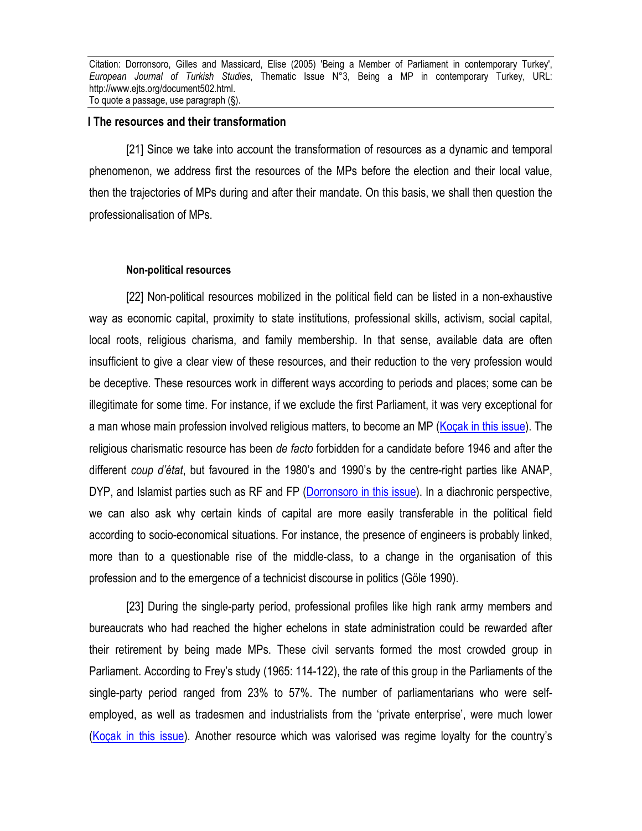#### **I The resources and their transformation**

[21] Since we take into account the transformation of resources as a dynamic and temporal phenomenon, we address first the resources of the MPs before the election and their local value, then the trajectories of MPs during and after their mandate. On this basis, we shall then question the professionalisation of MPs.

#### **Non-political resources**

[22] Non-political resources mobilized in the political field can be listed in a non-exhaustive way as economic capital, proximity to state institutions, professional skills, activism, social capital, local roots, religious charisma, and family membership. In that sense, available data are often insufficient to give a clear view of these resources, and their reduction to the very profession would be deceptive. These resources work in different ways according to periods and places; some can be illegitimate for some time. For instance, if we exclude the first Parliament, it was very exceptional for a man whose main profession involved religious matters, to become an MP (Kocak in this issue). The religious charismatic resource has been *de facto* forbidden for a candidate before 1946 and after the different *coup d'état*, but favoured in the 1980's and 1990's by the centre-right parties like ANAP, DYP, and Islamist parties such as RF and FP (Dorronsoro in this issue). In a diachronic perspective, we can also ask why certain kinds of capital are more easily transferable in the political field according to socio-economical situations. For instance, the presence of engineers is probably linked, more than to a questionable rise of the middle-class, to a change in the organisation of this profession and to the emergence of a technicist discourse in politics (Göle 1990).

[23] During the single-party period, professional profiles like high rank army members and bureaucrats who had reached the higher echelons in state administration could be rewarded after their retirement by being made MPs. These civil servants formed the most crowded group in Parliament. According to Frey's study (1965: 114-122), the rate of this group in the Parliaments of the single-party period ranged from 23% to 57%. The number of parliamentarians who were selfemployed, as well as tradesmen and industrialists from the 'private enterprise', were much lower (Koçak in this issue). Another resource which was valorised was regime loyalty for the country's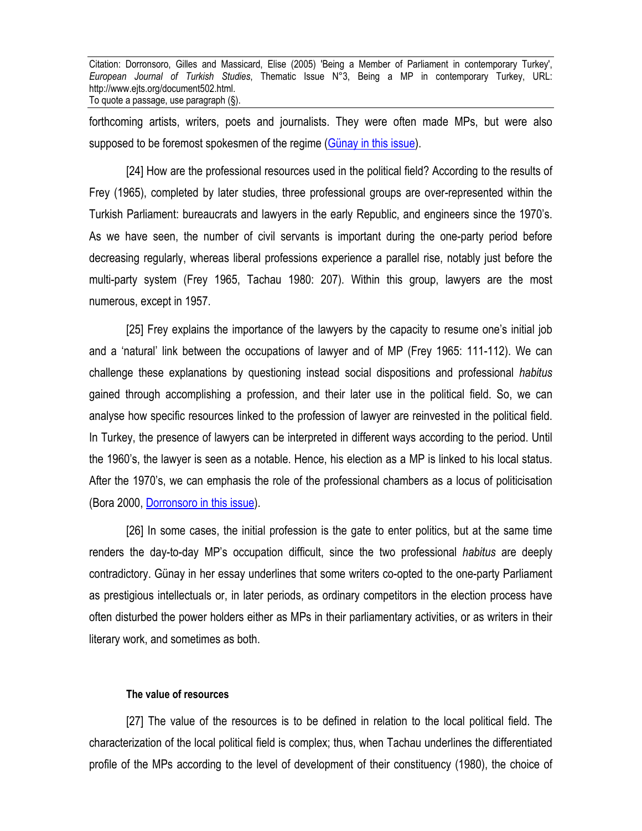forthcoming artists, writers, poets and journalists. They were often made MPs, but were also supposed to be foremost spokesmen of the regime (Günay in this issue).

[24] How are the professional resources used in the political field? According to the results of Frey (1965), completed by later studies, three professional groups are over-represented within the Turkish Parliament: bureaucrats and lawyers in the early Republic, and engineers since the 1970's. As we have seen, the number of civil servants is important during the one-party period before decreasing regularly, whereas liberal professions experience a parallel rise, notably just before the multi-party system (Frey 1965, Tachau 1980: 207). Within this group, lawyers are the most numerous, except in 1957.

[25] Frey explains the importance of the lawyers by the capacity to resume one's initial job and a 'natural' link between the occupations of lawyer and of MP (Frey 1965: 111-112). We can challenge these explanations by questioning instead social dispositions and professional *habitus* gained through accomplishing a profession, and their later use in the political field. So, we can analyse how specific resources linked to the profession of lawyer are reinvested in the political field. In Turkey, the presence of lawyers can be interpreted in different ways according to the period. Until the 1960's, the lawyer is seen as a notable. Hence, his election as a MP is linked to his local status. After the 1970's, we can emphasis the role of the professional chambers as a locus of politicisation (Bora 2000, Dorronsoro in this issue).

[26] In some cases, the initial profession is the gate to enter politics, but at the same time renders the day-to-day MP's occupation difficult, since the two professional *habitus* are deeply contradictory. Günay in her essay underlines that some writers co-opted to the one-party Parliament as prestigious intellectuals or, in later periods, as ordinary competitors in the election process have often disturbed the power holders either as MPs in their parliamentary activities, or as writers in their literary work, and sometimes as both.

#### **The value of resources**

[27] The value of the resources is to be defined in relation to the local political field. The characterization of the local political field is complex; thus, when Tachau underlines the differentiated profile of the MPs according to the level of development of their constituency (1980), the choice of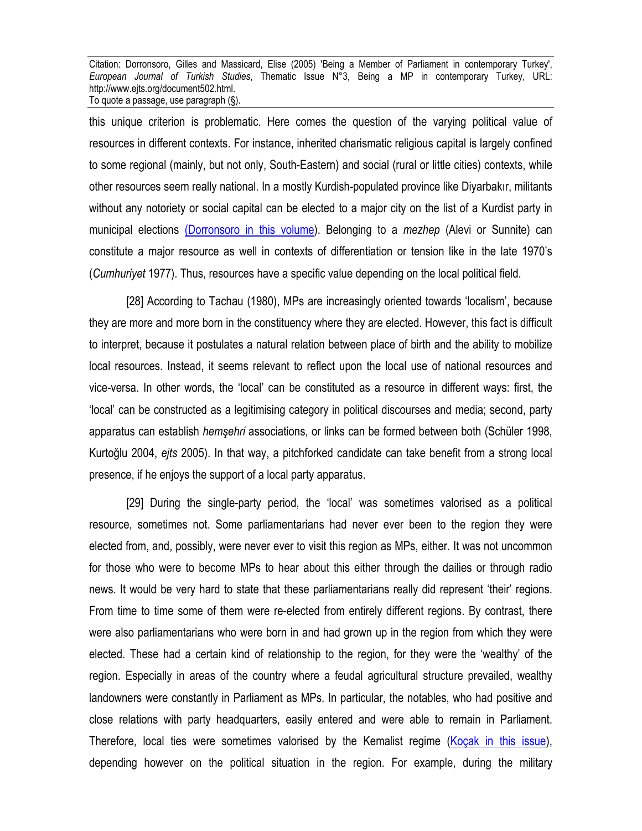this unique criterion is problematic. Here comes the question of the varying political value of resources in different contexts. For instance, inherited charismatic religious capital is largely confined to some regional (mainly, but not only, South-Eastern) and social (rural or little cities) contexts, while other resources seem really national. In a mostly Kurdish-populated province like Diyarbakır, militants without any notoriety or social capital can be elected to a major city on the list of a Kurdist party in municipal elections (Dorronsoro in this volume). Belonging to a *mezhep* (Alevi or Sunnite) can constitute a major resource as well in contexts of differentiation or tension like in the late 1970's (*Cumhuriyet* 1977). Thus, resources have a specific value depending on the local political field.

[28] According to Tachau (1980), MPs are increasingly oriented towards 'localism', because they are more and more born in the constituency where they are elected. However, this fact is difficult to interpret, because it postulates a natural relation between place of birth and the ability to mobilize local resources. Instead, it seems relevant to reflect upon the local use of national resources and vice-versa. In other words, the 'local' can be constituted as a resource in different ways: first, the 'local' can be constructed as a legitimising category in political discourses and media; second, party apparatus can establish *hemşehri* associations, or links can be formed between both (Schüler 1998, Kurtoğlu 2004, *ejts* 2005). In that way, a pitchforked candidate can take benefit from a strong local presence, if he enjoys the support of a local party apparatus.

[29] During the single-party period, the 'local' was sometimes valorised as a political resource, sometimes not. Some parliamentarians had never ever been to the region they were elected from, and, possibly, were never ever to visit this region as MPs, either. It was not uncommon for those who were to become MPs to hear about this either through the dailies or through radio news. It would be very hard to state that these parliamentarians really did represent 'their' regions. From time to time some of them were re-elected from entirely different regions. By contrast, there were also parliamentarians who were born in and had grown up in the region from which they were elected. These had a certain kind of relationship to the region, for they were the 'wealthy' of the region. Especially in areas of the country where a feudal agricultural structure prevailed, wealthy landowners were constantly in Parliament as MPs. In particular, the notables, who had positive and close relations with party headquarters, easily entered and were able to remain in Parliament. Therefore, local ties were sometimes valorised by the Kemalist regime (Koçak in this issue), depending however on the political situation in the region. For example, during the military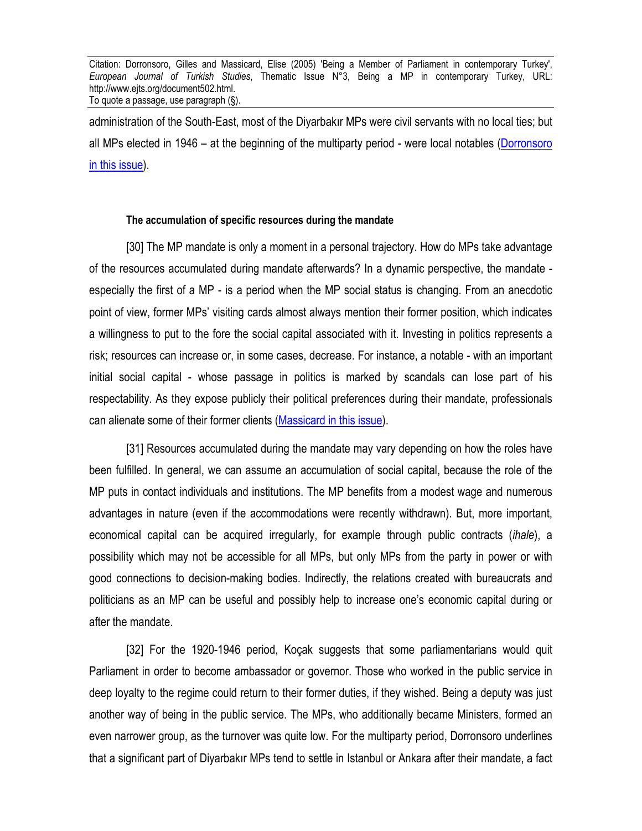administration of the South-East, most of the Diyarbakır MPs were civil servants with no local ties; but all MPs elected in 1946 – at the beginning of the multiparty period - were local notables (Dorronsoro in this issue).

#### **The accumulation of specific resources during the mandate**

[30] The MP mandate is only a moment in a personal trajectory. How do MPs take advantage of the resources accumulated during mandate afterwards? In a dynamic perspective, the mandate especially the first of a MP - is a period when the MP social status is changing. From an anecdotic point of view, former MPs' visiting cards almost always mention their former position, which indicates a willingness to put to the fore the social capital associated with it. Investing in politics represents a risk; resources can increase or, in some cases, decrease. For instance, a notable - with an important initial social capital - whose passage in politics is marked by scandals can lose part of his respectability. As they expose publicly their political preferences during their mandate, professionals can alienate some of their former clients (Massicard in this issue).

[31] Resources accumulated during the mandate may vary depending on how the roles have been fulfilled. In general, we can assume an accumulation of social capital, because the role of the MP puts in contact individuals and institutions. The MP benefits from a modest wage and numerous advantages in nature (even if the accommodations were recently withdrawn). But, more important, economical capital can be acquired irregularly, for example through public contracts (*ihale*), a possibility which may not be accessible for all MPs, but only MPs from the party in power or with good connections to decision-making bodies. Indirectly, the relations created with bureaucrats and politicians as an MP can be useful and possibly help to increase one's economic capital during or after the mandate.

[32] For the 1920-1946 period, Koçak suggests that some parliamentarians would quit Parliament in order to become ambassador or governor. Those who worked in the public service in deep loyalty to the regime could return to their former duties, if they wished. Being a deputy was just another way of being in the public service. The MPs, who additionally became Ministers, formed an even narrower group, as the turnover was quite low. For the multiparty period, Dorronsoro underlines that a significant part of Diyarbakır MPs tend to settle in Istanbul or Ankara after their mandate, a fact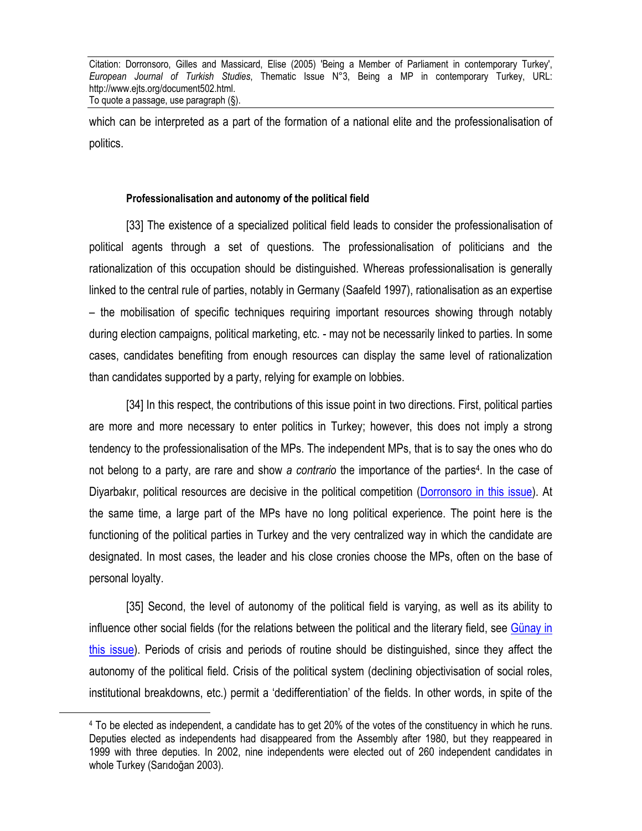which can be interpreted as a part of the formation of a national elite and the professionalisation of politics.

#### **Professionalisation and autonomy of the political field**

[33] The existence of a specialized political field leads to consider the professionalisation of political agents through a set of questions. The professionalisation of politicians and the rationalization of this occupation should be distinguished. Whereas professionalisation is generally linked to the central rule of parties, notably in Germany (Saafeld 1997), rationalisation as an expertise – the mobilisation of specific techniques requiring important resources showing through notably during election campaigns, political marketing, etc. - may not be necessarily linked to parties. In some cases, candidates benefiting from enough resources can display the same level of rationalization than candidates supported by a party, relying for example on lobbies.

[34] In this respect, the contributions of this issue point in two directions. First, political parties are more and more necessary to enter politics in Turkey; however, this does not imply a strong tendency to the professionalisation of the MPs. The independent MPs, that is to say the ones who do not belong to a party, are rare and show *a contrario* the importance of the parties4. In the case of Diyarbakır, political resources are decisive in the political competition (Dorronsoro in this issue). At the same time, a large part of the MPs have no long political experience. The point here is the functioning of the political parties in Turkey and the very centralized way in which the candidate are designated. In most cases, the leader and his close cronies choose the MPs, often on the base of personal loyalty.

[35] Second, the level of autonomy of the political field is varying, as well as its ability to influence other social fields (for the relations between the political and the literary field, see Günay in this issue). Periods of crisis and periods of routine should be distinguished, since they affect the autonomy of the political field. Crisis of the political system (declining objectivisation of social roles, institutional breakdowns, etc.) permit a 'dedifferentiation' of the fields. In other words, in spite of the

 $\overline{a}$ 

<sup>4</sup> To be elected as independent, a candidate has to get 20% of the votes of the constituency in which he runs. Deputies elected as independents had disappeared from the Assembly after 1980, but they reappeared in 1999 with three deputies. In 2002, nine independents were elected out of 260 independent candidates in whole Turkey (Sarıdoğan 2003).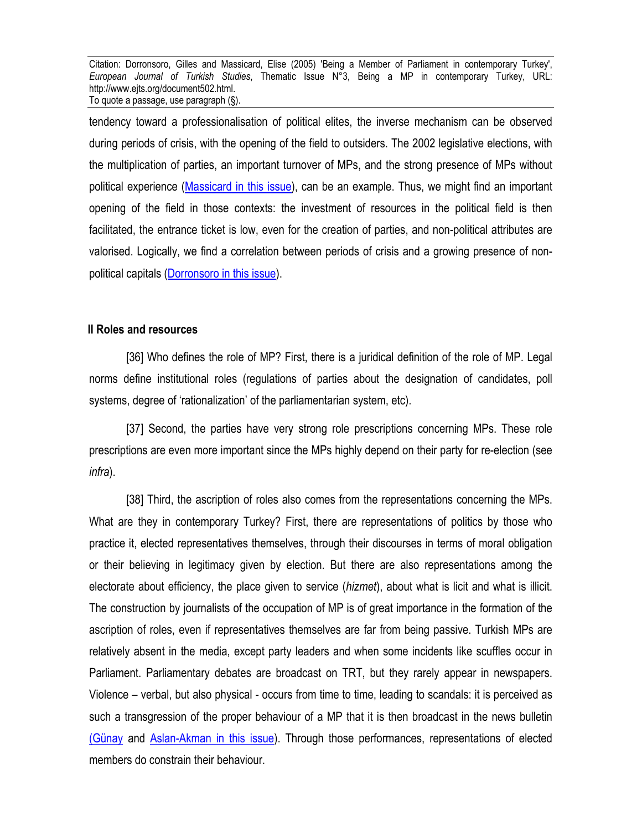tendency toward a professionalisation of political elites, the inverse mechanism can be observed during periods of crisis, with the opening of the field to outsiders. The 2002 legislative elections, with the multiplication of parties, an important turnover of MPs, and the strong presence of MPs without political experience (Massicard in this issue), can be an example. Thus, we might find an important opening of the field in those contexts: the investment of resources in the political field is then facilitated, the entrance ticket is low, even for the creation of parties, and non-political attributes are valorised. Logically, we find a correlation between periods of crisis and a growing presence of nonpolitical capitals (Dorronsoro in this issue).

#### **II Roles and resources**

[36] Who defines the role of MP? First, there is a juridical definition of the role of MP. Legal norms define institutional roles (regulations of parties about the designation of candidates, poll systems, degree of 'rationalization' of the parliamentarian system, etc).

[37] Second, the parties have very strong role prescriptions concerning MPs. These role prescriptions are even more important since the MPs highly depend on their party for re-election (see *infra*).

[38] Third, the ascription of roles also comes from the representations concerning the MPs. What are they in contemporary Turkey? First, there are representations of politics by those who practice it, elected representatives themselves, through their discourses in terms of moral obligation or their believing in legitimacy given by election. But there are also representations among the electorate about efficiency, the place given to service (*hizmet*), about what is licit and what is illicit. The construction by journalists of the occupation of MP is of great importance in the formation of the ascription of roles, even if representatives themselves are far from being passive. Turkish MPs are relatively absent in the media, except party leaders and when some incidents like scuffles occur in Parliament. Parliamentary debates are broadcast on TRT, but they rarely appear in newspapers. Violence – verbal, but also physical - occurs from time to time, leading to scandals: it is perceived as such a transgression of the proper behaviour of a MP that it is then broadcast in the news bulletin (Günay and Aslan-Akman in this issue). Through those performances, representations of elected members do constrain their behaviour.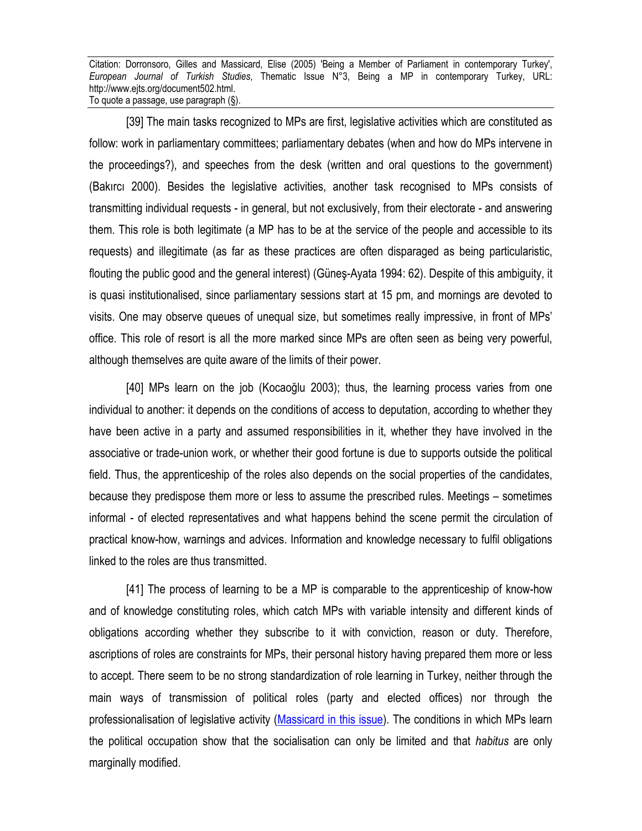[39] The main tasks recognized to MPs are first, legislative activities which are constituted as follow: work in parliamentary committees; parliamentary debates (when and how do MPs intervene in the proceedings?), and speeches from the desk (written and oral questions to the government) (Bakırcı 2000). Besides the legislative activities, another task recognised to MPs consists of transmitting individual requests - in general, but not exclusively, from their electorate - and answering them. This role is both legitimate (a MP has to be at the service of the people and accessible to its requests) and illegitimate (as far as these practices are often disparaged as being particularistic, flouting the public good and the general interest) (Güneş-Ayata 1994: 62). Despite of this ambiguity, it is quasi institutionalised, since parliamentary sessions start at 15 pm, and mornings are devoted to visits. One may observe queues of unequal size, but sometimes really impressive, in front of MPs' office. This role of resort is all the more marked since MPs are often seen as being very powerful, although themselves are quite aware of the limits of their power.

[40] MPs learn on the job (Kocaoğlu 2003); thus, the learning process varies from one individual to another: it depends on the conditions of access to deputation, according to whether they have been active in a party and assumed responsibilities in it, whether they have involved in the associative or trade-union work, or whether their good fortune is due to supports outside the political field. Thus, the apprenticeship of the roles also depends on the social properties of the candidates, because they predispose them more or less to assume the prescribed rules. Meetings – sometimes informal - of elected representatives and what happens behind the scene permit the circulation of practical know-how, warnings and advices. Information and knowledge necessary to fulfil obligations linked to the roles are thus transmitted.

[41] The process of learning to be a MP is comparable to the apprenticeship of know-how and of knowledge constituting roles, which catch MPs with variable intensity and different kinds of obligations according whether they subscribe to it with conviction, reason or duty. Therefore, ascriptions of roles are constraints for MPs, their personal history having prepared them more or less to accept. There seem to be no strong standardization of role learning in Turkey, neither through the main ways of transmission of political roles (party and elected offices) nor through the professionalisation of legislative activity (Massicard in this issue). The conditions in which MPs learn the political occupation show that the socialisation can only be limited and that *habitus* are only marginally modified.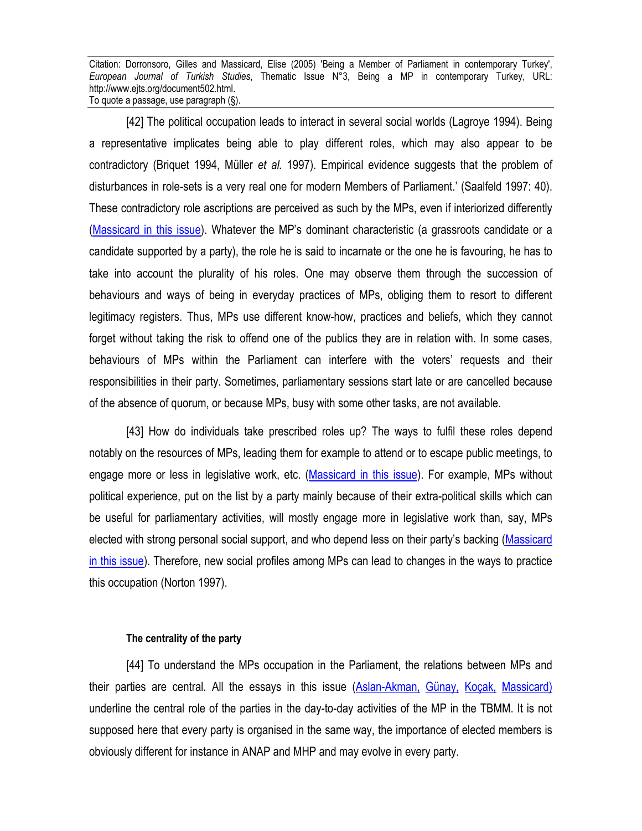[42] The political occupation leads to interact in several social worlds (Lagroye 1994). Being a representative implicates being able to play different roles, which may also appear to be contradictory (Briquet 1994, Müller *et al.* 1997). Empirical evidence suggests that the problem of disturbances in role-sets is a very real one for modern Members of Parliament.' (Saalfeld 1997: 40). These contradictory role ascriptions are perceived as such by the MPs, even if interiorized differently (Massicard in this issue). Whatever the MP's dominant characteristic (a grassroots candidate or a candidate supported by a party), the role he is said to incarnate or the one he is favouring, he has to take into account the plurality of his roles. One may observe them through the succession of behaviours and ways of being in everyday practices of MPs, obliging them to resort to different legitimacy registers. Thus, MPs use different know-how, practices and beliefs, which they cannot forget without taking the risk to offend one of the publics they are in relation with. In some cases, behaviours of MPs within the Parliament can interfere with the voters' requests and their responsibilities in their party. Sometimes, parliamentary sessions start late or are cancelled because of the absence of quorum, or because MPs, busy with some other tasks, are not available.

[43] How do individuals take prescribed roles up? The ways to fulfil these roles depend notably on the resources of MPs, leading them for example to attend or to escape public meetings, to engage more or less in legislative work, etc. (Massicard in this issue). For example, MPs without political experience, put on the list by a party mainly because of their extra-political skills which can be useful for parliamentary activities, will mostly engage more in legislative work than, say, MPs elected with strong personal social support, and who depend less on their party's backing (Massicard in this issue). Therefore, new social profiles among MPs can lead to changes in the ways to practice this occupation (Norton 1997).

#### **The centrality of the party**

[44] To understand the MPs occupation in the Parliament, the relations between MPs and their parties are central. All the essays in this issue (Aslan-Akman, Günay, Koçak, Massicard) underline the central role of the parties in the day-to-day activities of the MP in the TBMM. It is not supposed here that every party is organised in the same way, the importance of elected members is obviously different for instance in ANAP and MHP and may evolve in every party.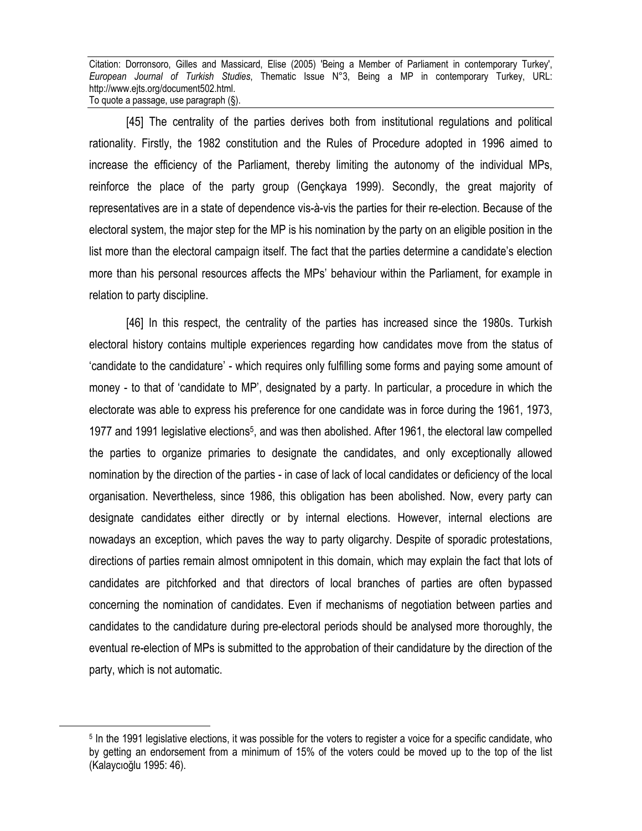[45] The centrality of the parties derives both from institutional regulations and political rationality. Firstly, the 1982 constitution and the Rules of Procedure adopted in 1996 aimed to increase the efficiency of the Parliament, thereby limiting the autonomy of the individual MPs, reinforce the place of the party group (Gençkaya 1999). Secondly, the great majority of representatives are in a state of dependence vis-à-vis the parties for their re-election. Because of the electoral system, the major step for the MP is his nomination by the party on an eligible position in the list more than the electoral campaign itself. The fact that the parties determine a candidate's election more than his personal resources affects the MPs' behaviour within the Parliament, for example in relation to party discipline.

[46] In this respect, the centrality of the parties has increased since the 1980s. Turkish electoral history contains multiple experiences regarding how candidates move from the status of 'candidate to the candidature' - which requires only fulfilling some forms and paying some amount of money - to that of 'candidate to MP', designated by a party. In particular, a procedure in which the electorate was able to express his preference for one candidate was in force during the 1961, 1973, 1977 and 1991 legislative elections<sup>5</sup>, and was then abolished. After 1961, the electoral law compelled the parties to organize primaries to designate the candidates, and only exceptionally allowed nomination by the direction of the parties - in case of lack of local candidates or deficiency of the local organisation. Nevertheless, since 1986, this obligation has been abolished. Now, every party can designate candidates either directly or by internal elections. However, internal elections are nowadays an exception, which paves the way to party oligarchy. Despite of sporadic protestations, directions of parties remain almost omnipotent in this domain, which may explain the fact that lots of candidates are pitchforked and that directors of local branches of parties are often bypassed concerning the nomination of candidates. Even if mechanisms of negotiation between parties and candidates to the candidature during pre-electoral periods should be analysed more thoroughly, the eventual re-election of MPs is submitted to the approbation of their candidature by the direction of the party, which is not automatic.

 $\overline{a}$ 

<sup>5</sup> In the 1991 legislative elections, it was possible for the voters to register a voice for a specific candidate, who by getting an endorsement from a minimum of 15% of the voters could be moved up to the top of the list (Kalaycıoğlu 1995: 46).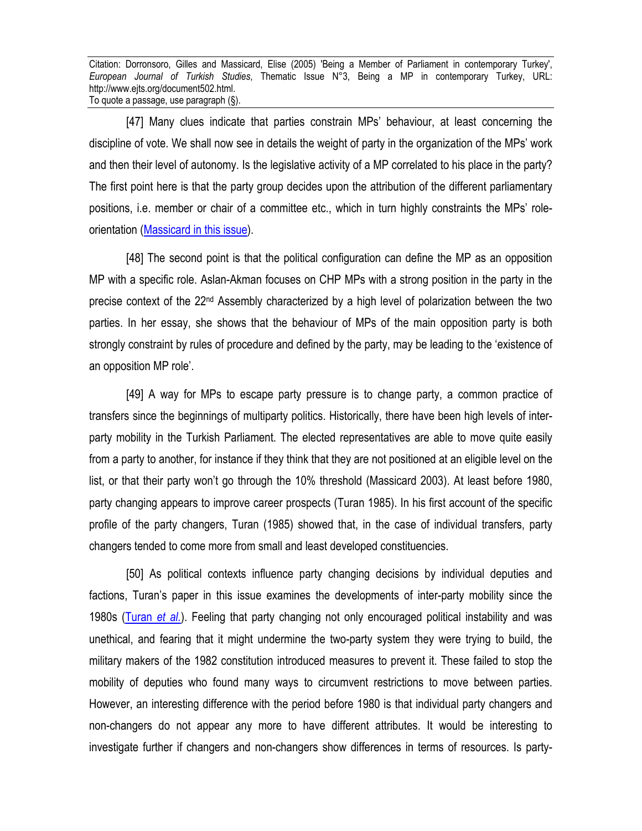[47] Many clues indicate that parties constrain MPs' behaviour, at least concerning the discipline of vote. We shall now see in details the weight of party in the organization of the MPs' work and then their level of autonomy. Is the legislative activity of a MP correlated to his place in the party? The first point here is that the party group decides upon the attribution of the different parliamentary positions, i.e. member or chair of a committee etc., which in turn highly constraints the MPs' roleorientation (Massicard in this issue).

[48] The second point is that the political configuration can define the MP as an opposition MP with a specific role. Aslan-Akman focuses on CHP MPs with a strong position in the party in the precise context of the 22nd Assembly characterized by a high level of polarization between the two parties. In her essay, she shows that the behaviour of MPs of the main opposition party is both strongly constraint by rules of procedure and defined by the party, may be leading to the 'existence of an opposition MP role'.

[49] A way for MPs to escape party pressure is to change party, a common practice of transfers since the beginnings of multiparty politics. Historically, there have been high levels of interparty mobility in the Turkish Parliament. The elected representatives are able to move quite easily from a party to another, for instance if they think that they are not positioned at an eligible level on the list, or that their party won't go through the 10% threshold (Massicard 2003). At least before 1980, party changing appears to improve career prospects (Turan 1985). In his first account of the specific profile of the party changers, Turan (1985) showed that, in the case of individual transfers, party changers tended to come more from small and least developed constituencies.

[50] As political contexts influence party changing decisions by individual deputies and factions, Turan's paper in this issue examines the developments of inter-party mobility since the 1980s (Turan *et al.*). Feeling that party changing not only encouraged political instability and was unethical, and fearing that it might undermine the two-party system they were trying to build, the military makers of the 1982 constitution introduced measures to prevent it. These failed to stop the mobility of deputies who found many ways to circumvent restrictions to move between parties. However, an interesting difference with the period before 1980 is that individual party changers and non-changers do not appear any more to have different attributes. It would be interesting to investigate further if changers and non-changers show differences in terms of resources. Is party-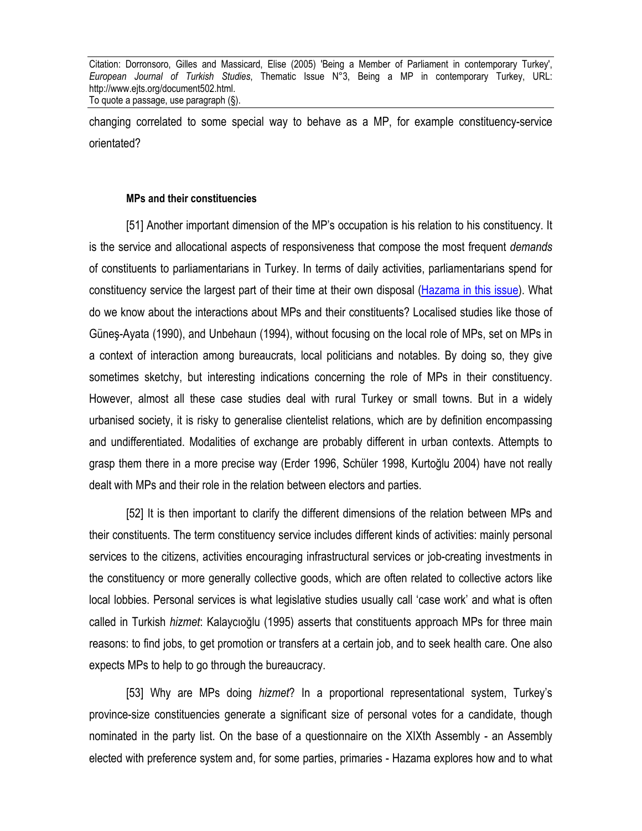changing correlated to some special way to behave as a MP, for example constituency-service orientated?

#### **MPs and their constituencies**

[51] Another important dimension of the MP's occupation is his relation to his constituency. It is the service and allocational aspects of responsiveness that compose the most frequent *demands* of constituents to parliamentarians in Turkey. In terms of daily activities, parliamentarians spend for constituency service the largest part of their time at their own disposal (Hazama in this issue). What do we know about the interactions about MPs and their constituents? Localised studies like those of Güneş-Ayata (1990), and Unbehaun (1994), without focusing on the local role of MPs, set on MPs in a context of interaction among bureaucrats, local politicians and notables. By doing so, they give sometimes sketchy, but interesting indications concerning the role of MPs in their constituency. However, almost all these case studies deal with rural Turkey or small towns. But in a widely urbanised society, it is risky to generalise clientelist relations, which are by definition encompassing and undifferentiated. Modalities of exchange are probably different in urban contexts. Attempts to grasp them there in a more precise way (Erder 1996, Schüler 1998, Kurtoğlu 2004) have not really dealt with MPs and their role in the relation between electors and parties.

[52] It is then important to clarify the different dimensions of the relation between MPs and their constituents. The term constituency service includes different kinds of activities: mainly personal services to the citizens, activities encouraging infrastructural services or job-creating investments in the constituency or more generally collective goods, which are often related to collective actors like local lobbies. Personal services is what legislative studies usually call 'case work' and what is often called in Turkish *hizmet*: Kalaycıoğlu (1995) asserts that constituents approach MPs for three main reasons: to find jobs, to get promotion or transfers at a certain job, and to seek health care. One also expects MPs to help to go through the bureaucracy.

[53] Why are MPs doing *hizmet*? In a proportional representational system, Turkey's province-size constituencies generate a significant size of personal votes for a candidate, though nominated in the party list. On the base of a questionnaire on the XIXth Assembly - an Assembly elected with preference system and, for some parties, primaries - Hazama explores how and to what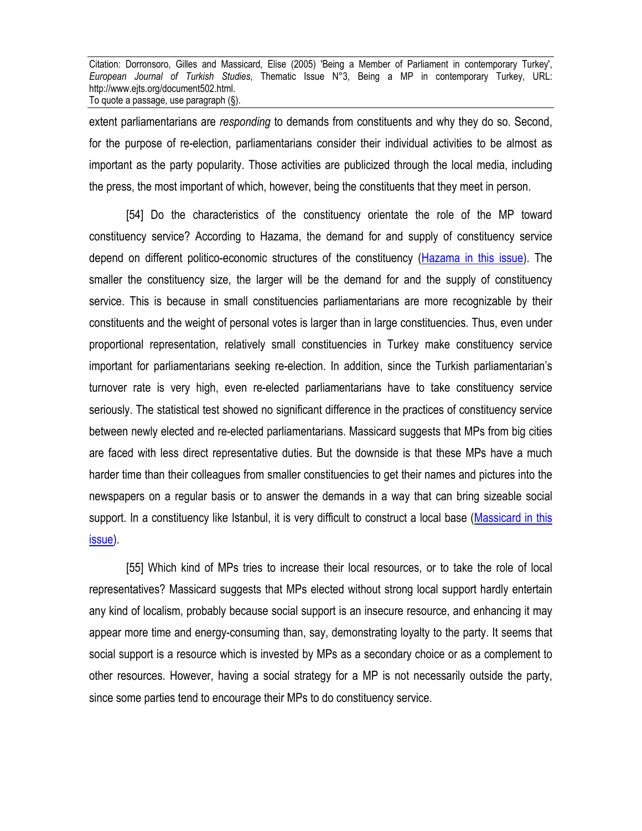extent parliamentarians are *responding* to demands from constituents and why they do so. Second, for the purpose of re-election, parliamentarians consider their individual activities to be almost as important as the party popularity. Those activities are publicized through the local media, including the press, the most important of which, however, being the constituents that they meet in person.

[54] Do the characteristics of the constituency orientate the role of the MP toward constituency service? According to Hazama, the demand for and supply of constituency service depend on different politico-economic structures of the constituency (Hazama in this issue). The smaller the constituency size, the larger will be the demand for and the supply of constituency service. This is because in small constituencies parliamentarians are more recognizable by their constituents and the weight of personal votes is larger than in large constituencies. Thus, even under proportional representation, relatively small constituencies in Turkey make constituency service important for parliamentarians seeking re-election. In addition, since the Turkish parliamentarian's turnover rate is very high, even re-elected parliamentarians have to take constituency service seriously. The statistical test showed no significant difference in the practices of constituency service between newly elected and re-elected parliamentarians. Massicard suggests that MPs from big cities are faced with less direct representative duties. But the downside is that these MPs have a much harder time than their colleagues from smaller constituencies to get their names and pictures into the newspapers on a regular basis or to answer the demands in a way that can bring sizeable social support. In a constituency like Istanbul, it is very difficult to construct a local base (Massicard in this issue).

[55] Which kind of MPs tries to increase their local resources, or to take the role of local representatives? Massicard suggests that MPs elected without strong local support hardly entertain any kind of localism, probably because social support is an insecure resource, and enhancing it may appear more time and energy-consuming than, say, demonstrating loyalty to the party. It seems that social support is a resource which is invested by MPs as a secondary choice or as a complement to other resources. However, having a social strategy for a MP is not necessarily outside the party, since some parties tend to encourage their MPs to do constituency service.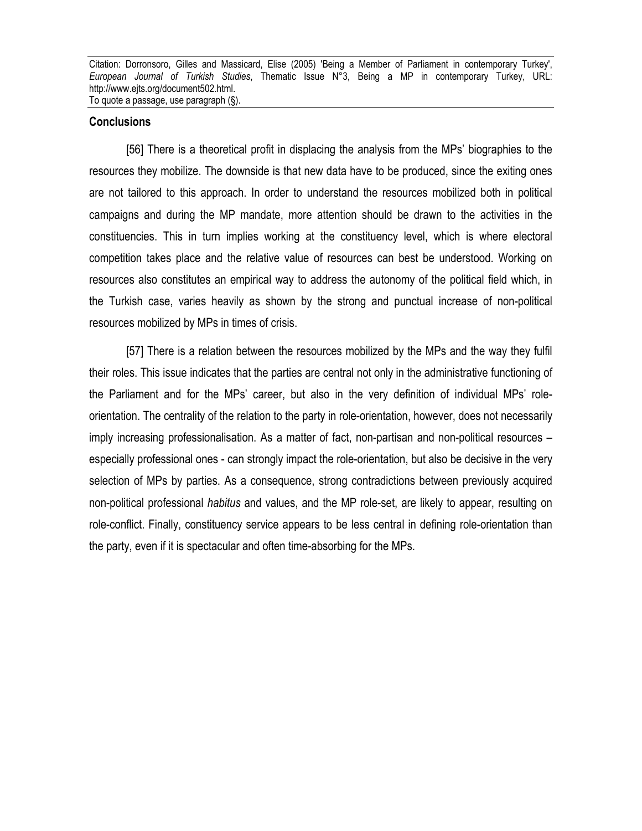#### **Conclusions**

[56] There is a theoretical profit in displacing the analysis from the MPs' biographies to the resources they mobilize. The downside is that new data have to be produced, since the exiting ones are not tailored to this approach. In order to understand the resources mobilized both in political campaigns and during the MP mandate, more attention should be drawn to the activities in the constituencies. This in turn implies working at the constituency level, which is where electoral competition takes place and the relative value of resources can best be understood. Working on resources also constitutes an empirical way to address the autonomy of the political field which, in the Turkish case, varies heavily as shown by the strong and punctual increase of non-political resources mobilized by MPs in times of crisis.

[57] There is a relation between the resources mobilized by the MPs and the way they fulfil their roles. This issue indicates that the parties are central not only in the administrative functioning of the Parliament and for the MPs' career, but also in the very definition of individual MPs' roleorientation. The centrality of the relation to the party in role-orientation, however, does not necessarily imply increasing professionalisation. As a matter of fact, non-partisan and non-political resources – especially professional ones - can strongly impact the role-orientation, but also be decisive in the very selection of MPs by parties. As a consequence, strong contradictions between previously acquired non-political professional *habitus* and values, and the MP role-set, are likely to appear, resulting on role-conflict. Finally, constituency service appears to be less central in defining role-orientation than the party, even if it is spectacular and often time-absorbing for the MPs.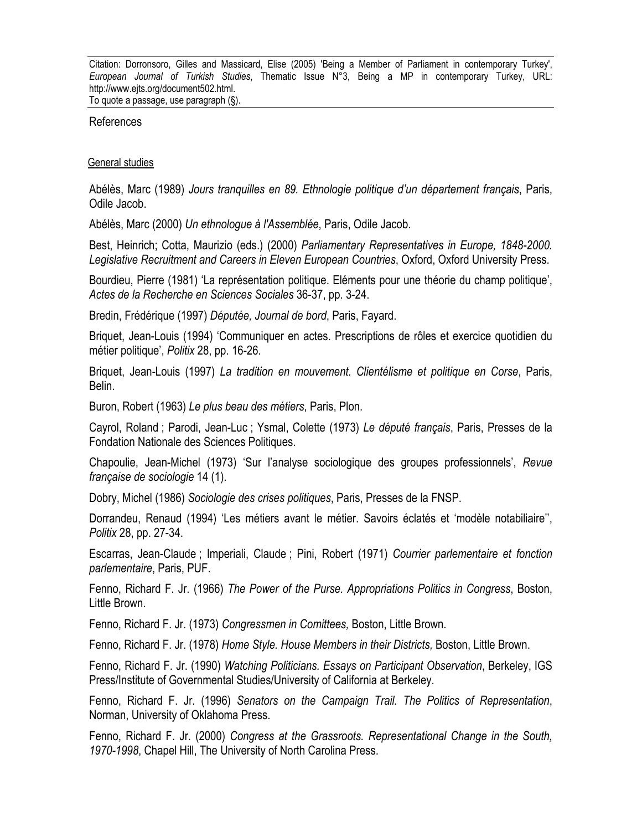References

#### General studies

Abélès, Marc (1989) *Jours tranquilles en 89. Ethnologie politique d'un département français*, Paris, Odile Jacob.

Abélès, Marc (2000) *Un ethnologue à l'Assemblée*, Paris, Odile Jacob.

Best, Heinrich; Cotta, Maurizio (eds.) (2000) *Parliamentary Representatives in Europe, 1848-2000. Legislative Recruitment and Careers in Eleven European Countries*, Oxford, Oxford University Press.

Bourdieu, Pierre (1981) 'La représentation politique. Eléments pour une théorie du champ politique', *Actes de la Recherche en Sciences Sociales* 36-37, pp. 3-24.

Bredin, Frédérique (1997) *Députée, Journal de bord*, Paris, Fayard.

Briquet, Jean-Louis (1994) 'Communiquer en actes. Prescriptions de rôles et exercice quotidien du métier politique', *Politix* 28, pp. 16-26.

Briquet, Jean-Louis (1997) *La tradition en mouvement. Clientélisme et politique en Corse*, Paris, Belin.

Buron, Robert (1963) *Le plus beau des métiers*, Paris, Plon.

Cayrol, Roland ; Parodi, Jean-Luc ; Ysmal, Colette (1973) *Le député français*, Paris, Presses de la Fondation Nationale des Sciences Politiques.

Chapoulie, Jean-Michel (1973) 'Sur l'analyse sociologique des groupes professionnels', *Revue française de sociologie* 14 (1).

Dobry, Michel (1986) *Sociologie des crises politiques*, Paris, Presses de la FNSP.

Dorrandeu, Renaud (1994) 'Les métiers avant le métier. Savoirs éclatés et 'modèle notabiliaire'', *Politix* 28, pp. 27-34.

Escarras, Jean-Claude ; Imperiali, Claude ; Pini, Robert (1971) *Courrier parlementaire et fonction parlementaire*, Paris, PUF.

Fenno, Richard F. Jr. (1966) *The Power of the Purse. Appropriations Politics in Congress*, Boston, Little Brown.

Fenno, Richard F. Jr. (1973) *Congressmen in Comittees,* Boston, Little Brown.

Fenno, Richard F. Jr. (1978) *Home Style. House Members in their Districts,* Boston, Little Brown.

Fenno, Richard F. Jr. (1990) *Watching Politicians. Essays on Participant Observation*, Berkeley, IGS Press/Institute of Governmental Studies/University of California at Berkeley.

Fenno, Richard F. Jr. (1996) *Senators on the Campaign Trail. The Politics of Representation*, Norman, University of Oklahoma Press.

Fenno, Richard F. Jr. (2000) *Congress at the Grassroots. Representational Change in the South, 1970-1998*, Chapel Hill, The University of North Carolina Press.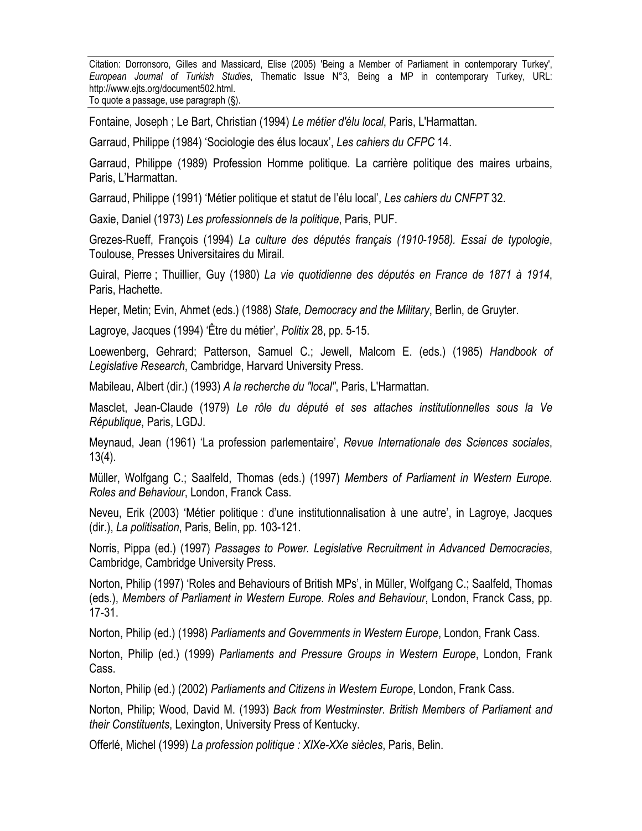Fontaine, Joseph ; Le Bart, Christian (1994) *Le métier d'élu local*, Paris, L'Harmattan.

Garraud, Philippe (1984) 'Sociologie des élus locaux', *Les cahiers du CFPC* 14.

Garraud, Philippe (1989) Profession Homme politique. La carrière politique des maires urbains, Paris, L'Harmattan.

Garraud, Philippe (1991) 'Métier politique et statut de l'élu local', *Les cahiers du CNFPT* 32.

Gaxie, Daniel (1973) *Les professionnels de la politique*, Paris, PUF.

Grezes-Rueff, François (1994) *La culture des députés français (1910-1958). Essai de typologie*, Toulouse, Presses Universitaires du Mirail.

Guiral, Pierre ; Thuillier, Guy (1980) *La vie quotidienne des députés en France de 1871 à 1914*, Paris, Hachette.

Heper, Metin; Evin, Ahmet (eds.) (1988) *State, Democracy and the Military*, Berlin, de Gruyter.

Lagroye, Jacques (1994) 'Être du métier', *Politix* 28, pp. 5-15.

Loewenberg, Gehrard; Patterson, Samuel C.; Jewell, Malcom E. (eds.) (1985) *Handbook of Legislative Research*, Cambridge, Harvard University Press.

Mabileau, Albert (dir.) (1993) *A la recherche du "local"*, Paris, L'Harmattan.

Masclet, Jean-Claude (1979) *Le rôle du député et ses attaches institutionnelles sous la Ve République*, Paris, LGDJ.

Meynaud, Jean (1961) 'La profession parlementaire', *Revue Internationale des Sciences sociales*, 13(4).

Müller, Wolfgang C.; Saalfeld, Thomas (eds.) (1997) *Members of Parliament in Western Europe. Roles and Behaviour*, London, Franck Cass.

Neveu, Erik (2003) 'Métier politique : d'une institutionnalisation à une autre', in Lagroye, Jacques (dir.), *La politisation*, Paris, Belin, pp. 103-121.

Norris, Pippa (ed.) (1997) *Passages to Power. Legislative Recruitment in Advanced Democracies*, Cambridge, Cambridge University Press.

Norton, Philip (1997) 'Roles and Behaviours of British MPs', in Müller, Wolfgang C.; Saalfeld, Thomas (eds.), *Members of Parliament in Western Europe. Roles and Behaviour*, London, Franck Cass, pp. 17-31.

Norton, Philip (ed.) (1998) *Parliaments and Governments in Western Europe*, London, Frank Cass.

Norton, Philip (ed.) (1999) *Parliaments and Pressure Groups in Western Europe*, London, Frank Cass.

Norton, Philip (ed.) (2002) *Parliaments and Citizens in Western Europe*, London, Frank Cass.

Norton, Philip; Wood, David M. (1993) *Back from Westminster. British Members of Parliament and their Constituents*, Lexington, University Press of Kentucky.

Offerlé, Michel (1999) *La profession politique : XIXe-XXe siècles*, Paris, Belin.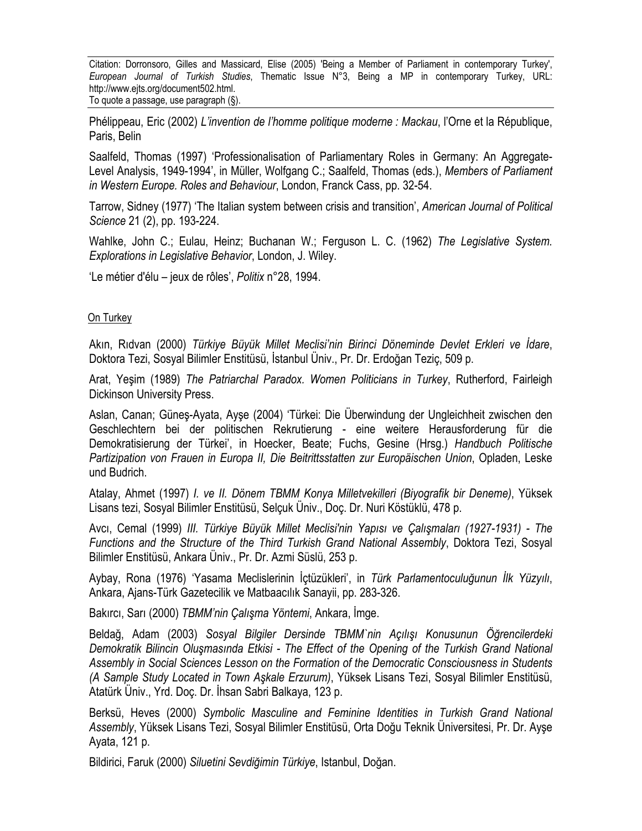Phélippeau, Eric (2002) *L'invention de l'homme politique moderne : Mackau*, l'Orne et la République, Paris, Belin

Saalfeld, Thomas (1997) 'Professionalisation of Parliamentary Roles in Germany: An Aggregate-Level Analysis, 1949-1994', in Müller, Wolfgang C.; Saalfeld, Thomas (eds.), *Members of Parliament in Western Europe. Roles and Behaviour*, London, Franck Cass, pp. 32-54.

Tarrow, Sidney (1977) 'The Italian system between crisis and transition', *American Journal of Political Science* 21 (2), pp. 193-224.

Wahlke, John C.; Eulau, Heinz; Buchanan W.; Ferguson L. C. (1962) *The Legislative System. Explorations in Legislative Behavior*, London, J. Wiley.

'Le métier d'élu – jeux de rôles', *Politix* n°28, 1994.

#### On Turkey

Akın, Rıdvan (2000) *Türkiye Büyük Millet Meclisi'nin Birinci Döneminde Devlet Erkleri ve İdare*, Doktora Tezi, Sosyal Bilimler Enstitüsü, İstanbul Üniv., Pr. Dr. Erdoğan Teziç, 509 p.

Arat, Yeşim (1989) *The Patriarchal Paradox. Women Politicians in Turkey*, Rutherford, Fairleigh Dickinson University Press.

Aslan, Canan; Güneş-Ayata, Ayşe (2004) 'Türkei: Die Überwindung der Ungleichheit zwischen den Geschlechtern bei der politischen Rekrutierung - eine weitere Herausforderung für die Demokratisierung der Türkei', in Hoecker, Beate; Fuchs, Gesine (Hrsg.) *Handbuch Politische Partizipation von Frauen in Europa II, Die Beitrittsstatten zur Europäischen Union*, Opladen, Leske und Budrich.

Atalay, Ahmet (1997) *I. ve II. Dönem TBMM Konya Milletvekilleri (Biyografik bir Deneme)*, Yüksek Lisans tezi, Sosyal Bilimler Enstitüsü, Selçuk Üniv., Doç. Dr. Nuri Köstüklü, 478 p.

Avcı, Cemal (1999) *III. Türkiye Büyük Millet Meclisi'nin Yapısı ve Çalışmaları (1927-1931) - The Functions and the Structure of the Third Turkish Grand National Assembly*, Doktora Tezi, Sosyal Bilimler Enstitüsü, Ankara Üniv., Pr. Dr. Azmi Süslü, 253 p.

Aybay, Rona (1976) 'Yasama Meclislerinin İçtüzükleri', in *Türk Parlamentoculuğunun İlk Yüzyılı*, Ankara, Ajans-Türk Gazetecilik ve Matbaacılık Sanayii, pp. 283-326.

Bakırcı, Sarı (2000) *TBMM'nin Çalışma Yöntemi*, Ankara, İmge.

Beldağ, Adam (2003) *Sosyal Bilgiler Dersinde TBMM`nin Açılışı Konusunun Öğrencilerdeki Demokratik Bilincin Oluşmasında Etkisi - The Effect of the Opening of the Turkish Grand National Assembly in Social Sciences Lesson on the Formation of the Democratic Consciousness in Students (A Sample Study Located in Town Aşkale Erzurum)*, Yüksek Lisans Tezi, Sosyal Bilimler Enstitüsü, Atatürk Üniv., Yrd. Doç. Dr. İhsan Sabri Balkaya, 123 p.

Berksü, Heves (2000) *Symbolic Masculine and Feminine Identities in Turkish Grand National Assembly*, Yüksek Lisans Tezi, Sosyal Bilimler Enstitüsü, Orta Doğu Teknik Üniversitesi, Pr. Dr. Ayşe Ayata, 121 p.

Bildirici, Faruk (2000) *Siluetini Sevdiğimin Türkiye*, Istanbul, Doğan.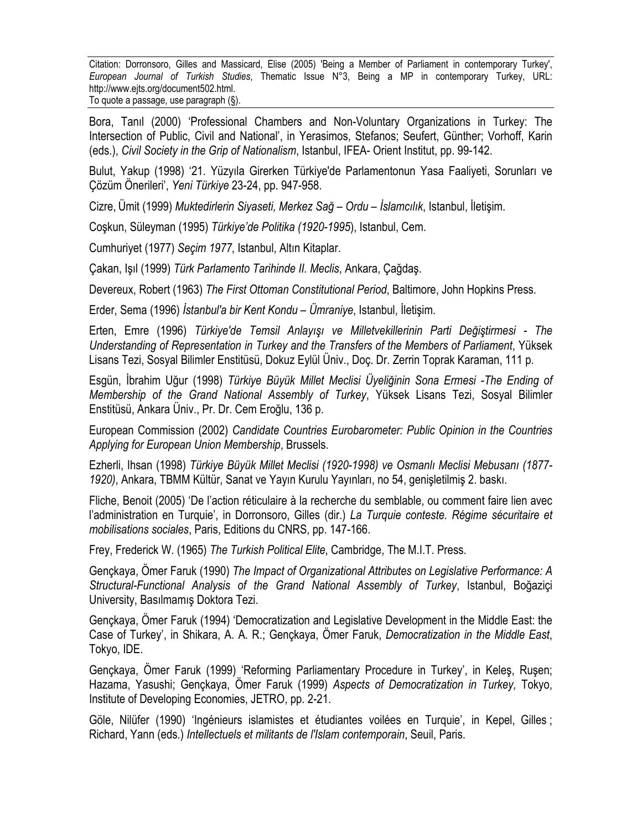Bora, Tanıl (2000) 'Professional Chambers and Non-Voluntary Organizations in Turkey: The Intersection of Public, Civil and National', in Yerasimos, Stefanos; Seufert, Günther; Vorhoff, Karin (eds.), *Civil Society in the Grip of Nationalism*, Istanbul, IFEA- Orient Institut, pp. 99-142.

Bulut, Yakup (1998) '21. Yüzyıla Girerken Türkiye'de Parlamentonun Yasa Faaliyeti, Sorunları ve Çözüm Önerileri', *Yeni Türkiye* 23-24, pp. 947-958.

Cizre, Ümit (1999) *Muktedirlerin Siyaseti, Merkez Sağ – Ordu – İslamcılık*, Istanbul, İletişim.

Coşkun, Süleyman (1995) *Türkiye'de Politika (1920-1995*), Istanbul, Cem.

Cumhuriyet (1977) *Seçim 1977*, Istanbul, Altın Kitaplar.

Çakan, Işıl (1999) *Türk Parlamento Tarihinde II. Meclis*, Ankara, Çağdaş.

Devereux, Robert (1963) *The First Ottoman Constitutional Period*, Baltimore, John Hopkins Press.

Erder, Sema (1996) *İstanbul'a bir Kent Kondu – Ümraniye*, Istanbul, İletişim.

Erten, Emre (1996) *Türkiye'de Temsil Anlayışı ve Milletvekillerinin Parti Değiştirmesi - The Understanding of Representation in Turkey and the Transfers of the Members of Parliament*, Yüksek Lisans Tezi, Sosyal Bilimler Enstitüsü, Dokuz Eylül Üniv., Doç. Dr. Zerrin Toprak Karaman, 111 p.

Esgün, İbrahim Uğur (1998) *Türkiye Büyük Millet Meclisi Üyeliğinin Sona Ermesi -The Ending of Membership of the Grand National Assembly of Turkey*, Yüksek Lisans Tezi, Sosyal Bilimler Enstitüsü, Ankara Üniv., Pr. Dr. Cem Eroğlu, 136 p.

European Commission (2002) *Candidate Countries Eurobarometer: Public Opinion in the Countries Applying for European Union Membership*, Brussels.

Ezherli, Ihsan (1998) *Türkiye Büyük Millet Meclisi (1920-1998) ve Osmanlı Meclisi Mebusanı (1877- 1920)*, Ankara, TBMM Kültür, Sanat ve Yayın Kurulu Yayınları, no 54, genişletilmiş 2. baskı.

Fliche, Benoit (2005) 'De l'action réticulaire à la recherche du semblable, ou comment faire lien avec l'administration en Turquie', in Dorronsoro, Gilles (dir.) *La Turquie conteste. Régime sécuritaire et mobilisations sociales*, Paris, Editions du CNRS, pp. 147-166.

Frey, Frederick W. (1965) *The Turkish Political Elite*, Cambridge, The M.I.T. Press.

Gençkaya, Ömer Faruk (1990) *The Impact of Organizational Attributes on Legislative Performance: A Structural-Functional Analysis of the Grand National Assembly of Turkey*, Istanbul, Boğaziçi University, Basılmamış Doktora Tezi.

Gençkaya, Ömer Faruk (1994) 'Democratization and Legislative Development in the Middle East: the Case of Turkey', in Shikara, A. A. R.; Gençkaya, Ömer Faruk, *Democratization in the Middle East*, Tokyo, IDE.

Gençkaya, Ömer Faruk (1999) 'Reforming Parliamentary Procedure in Turkey', in Keleş, Ruşen; Hazama, Yasushi; Gençkaya, Ömer Faruk (1999) *Aspects of Democratization in Turkey,* Tokyo, Institute of Developing Economies, JETRO, pp. 2-21.

Göle, Nilüfer (1990) 'Ingénieurs islamistes et étudiantes voilées en Turquie', in Kepel, Gilles ; Richard, Yann (eds.) *Intellectuels et militants de l'Islam contemporain*, Seuil, Paris.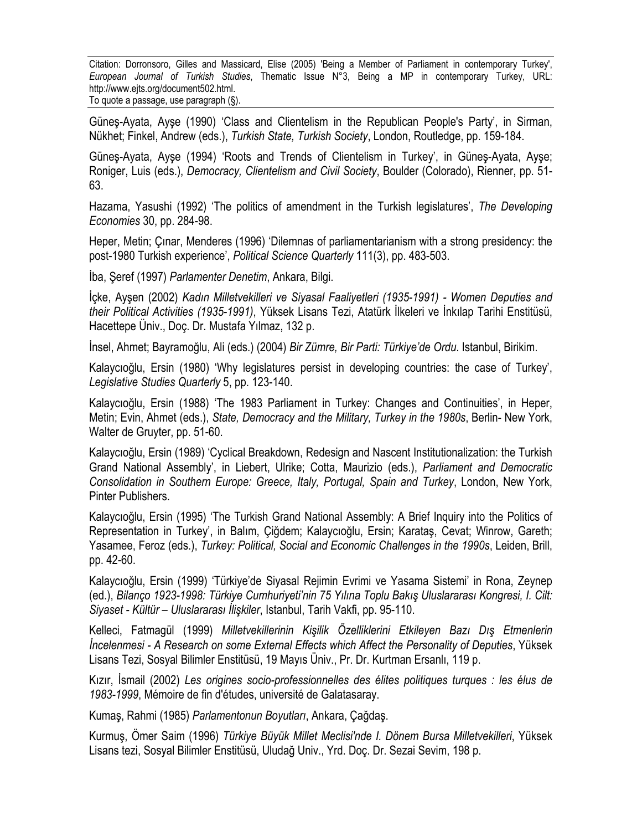Güneş-Ayata, Ayşe (1990) 'Class and Clientelism in the Republican People's Party', in Sirman, Nükhet; Finkel, Andrew (eds.), *Turkish State, Turkish Society*, London, Routledge, pp. 159-184.

Güneş-Ayata, Ayşe (1994) 'Roots and Trends of Clientelism in Turkey', in Güneş-Ayata, Ayşe; Roniger, Luis (eds.), *Democracy, Clientelism and Civil Society*, Boulder (Colorado), Rienner, pp. 51- 63.

Hazama, Yasushi (1992) 'The politics of amendment in the Turkish legislatures', *The Developing Economies* 30, pp. 284-98.

Heper, Metin; Çınar, Menderes (1996) 'Dilemnas of parliamentarianism with a strong presidency: the post-1980 Turkish experience', *Political Science Quarterly* 111(3), pp. 483-503.

İba, Şeref (1997) *Parlamenter Denetim*, Ankara, Bilgi.

İçke, Ayşen (2002) *Kadın Milletvekilleri ve Siyasal Faaliyetleri (1935-1991) - Women Deputies and their Political Activities (1935-1991)*, Yüksek Lisans Tezi, Atatürk İlkeleri ve İnkılap Tarihi Enstitüsü, Hacettepe Üniv., Doç. Dr. Mustafa Yılmaz, 132 p.

İnsel, Ahmet; Bayramoğlu, Ali (eds.) (2004) *Bir Zümre, Bir Parti: Türkiye'de Ordu*. Istanbul, Birikim.

Kalaycıoğlu, Ersin (1980) 'Why legislatures persist in developing countries: the case of Turkey', *Legislative Studies Quarterly* 5, pp. 123-140.

Kalaycıoğlu, Ersin (1988) 'The 1983 Parliament in Turkey: Changes and Continuities', in Heper, Metin; Evin, Ahmet (eds.), *State, Democracy and the Military, Turkey in the 1980s*, Berlin- New York, Walter de Gruyter, pp. 51-60.

Kalaycıoğlu, Ersin (1989) 'Cyclical Breakdown, Redesign and Nascent Institutionalization: the Turkish Grand National Assembly', in Liebert, Ulrike; Cotta, Maurizio (eds.), *Parliament and Democratic Consolidation in Southern Europe: Greece, Italy, Portugal, Spain and Turkey*, London, New York, Pinter Publishers.

Kalaycıoğlu, Ersin (1995) 'The Turkish Grand National Assembly: A Brief Inquiry into the Politics of Representation in Turkey', in Balım, Çiğdem; Kalaycıoğlu, Ersin; Karataş, Cevat; Winrow, Gareth; Yasamee, Feroz (eds.), *Turkey: Political, Social and Economic Challenges in the 1990s*, Leiden, Brill, pp. 42-60.

Kalaycıoğlu, Ersin (1999) 'Türkiye'de Siyasal Rejimin Evrimi ve Yasama Sistemi' in Rona, Zeynep (ed.), *Bilanço 1923-1998: Türkiye Cumhuriyeti'nin 75 Yılına Toplu Bakış Uluslararası Kongresi, I. Cilt: Siyaset - Kültür – Uluslararası İlişkiler*, Istanbul, Tarih Vakfi, pp. 95-110.

Kelleci, Fatmagül (1999) *Milletvekillerinin Kişilik Özelliklerini Etkileyen Bazı Dış Etmenlerin İncelenmesi - A Research on some External Effects which Affect the Personality of Deputies*, Yüksek Lisans Tezi, Sosyal Bilimler Enstitüsü, 19 Mayıs Üniv., Pr. Dr. Kurtman Ersanlı, 119 p.

Kızır, İsmail (2002) *Les origines socio-professionnelles des élites politiques turques : les élus de 1983-1999*, Mémoire de fin d'études, université de Galatasaray.

Kumaş, Rahmi (1985) *Parlamentonun Boyutları*, Ankara, Çağdaş.

Kurmuş, Ömer Saim (1996) *Türkiye Büyük Millet Meclisi'nde I. Dönem Bursa Milletvekilleri*, Yüksek Lisans tezi, Sosyal Bilimler Enstitüsü, Uludağ Univ., Yrd. Doç. Dr. Sezai Sevim, 198 p.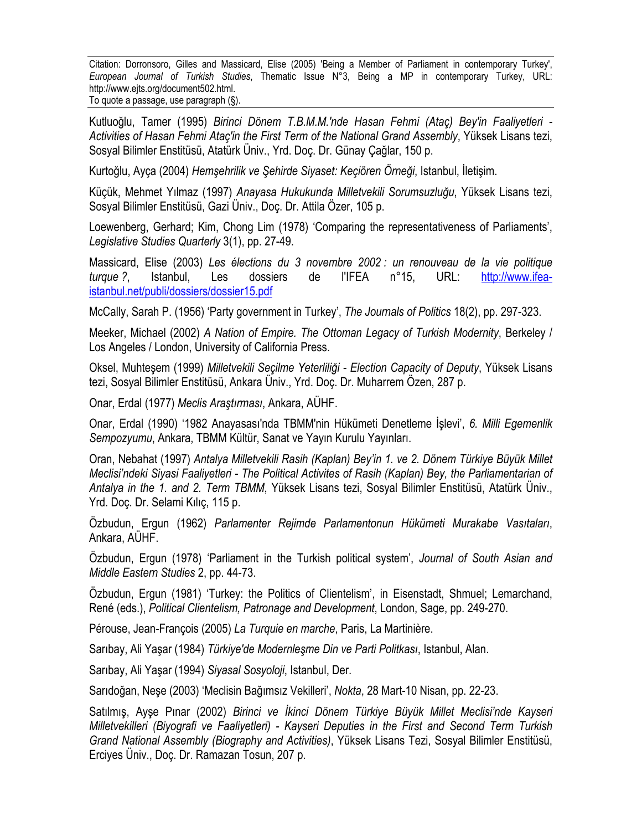Kutluoğlu, Tamer (1995) *Birinci Dönem T.B.M.M.'nde Hasan Fehmi (Ataç) Bey'in Faaliyetleri - Activities of Hasan Fehmi Ataç'in the First Term of the National Grand Assembly*, Yüksek Lisans tezi, Sosyal Bilimler Enstitüsü, Atatürk Üniv., Yrd. Doç. Dr. Günay Çağlar, 150 p.

Kurtoğlu, Ayça (2004) *Hemşehrilik ve Şehirde Siyaset: Keçiören Örneği*, Istanbul, İletişim.

Küçük, Mehmet Yılmaz (1997) *Anayasa Hukukunda Milletvekili Sorumsuzluğu*, Yüksek Lisans tezi, Sosyal Bilimler Enstitüsü, Gazi Üniv., Doç. Dr. Attila Özer, 105 p.

Loewenberg, Gerhard; Kim, Chong Lim (1978) 'Comparing the representativeness of Parliaments', *Legislative Studies Quarterly* 3(1), pp. 27-49.

Massicard, Elise (2003) *Les élections du 3 novembre 2002 : un renouveau de la vie politique turque ?*, Istanbul, Les dossiers de l'IFEA n°15, URL: http://www.ifeaistanbul.net/publi/dossiers/dossier15.pdf

McCally, Sarah P. (1956) 'Party government in Turkey', *The Journals of Politics* 18(2), pp. 297-323.

Meeker, Michael (2002) *A Nation of Empire. The Ottoman Legacy of Turkish Modernity*, Berkeley / Los Angeles / London, University of California Press.

Oksel, Muhteşem (1999) *Milletvekili Seçilme Yeterliliği - Election Capacity of Deputy*, Yüksek Lisans tezi, Sosyal Bilimler Enstitüsü, Ankara Üniv., Yrd. Doç. Dr. Muharrem Özen, 287 p.

Onar, Erdal (1977) *Meclis Araştırması*, Ankara, AÜHF.

Onar, Erdal (1990) '1982 Anayasası'nda TBMM'nin Hükümeti Denetleme İşlevi', *6. Milli Egemenlik Sempozyumu*, Ankara, TBMM Kültür, Sanat ve Yayın Kurulu Yayınları.

Oran, Nebahat (1997) *Antalya Milletvekili Rasih (Kaplan) Bey'in 1. ve 2. Dönem Türkiye Büyük Millet Meclisi'ndeki Siyasi Faaliyetleri - The Political Activites of Rasih (Kaplan) Bey, the Parliamentarian of Antalya in the 1. and 2. Term TBMM*, Yüksek Lisans tezi, Sosyal Bilimler Enstitüsü, Atatürk Üniv., Yrd. Doç. Dr. Selami Kılıç, 115 p.

Özbudun, Ergun (1962) *Parlamenter Rejimde Parlamentonun Hükümeti Murakabe Vasıtaları*, Ankara, AÜHF.

Özbudun, Ergun (1978) 'Parliament in the Turkish political system', *Journal of South Asian and Middle Eastern Studies* 2, pp. 44-73.

Özbudun, Ergun (1981) 'Turkey: the Politics of Clientelism', in Eisenstadt, Shmuel; Lemarchand, René (eds.), *Political Clientelism, Patronage and Development*, London, Sage, pp. 249-270.

Pérouse, Jean-François (2005) *La Turquie en marche*, Paris, La Martinière.

Sarıbay, Ali Yaşar (1984) *Türkiye'de Modernleşme Din ve Parti Politkası*, Istanbul, Alan.

Sarıbay, Ali Yaşar (1994) *Siyasal Sosyoloji*, Istanbul, Der.

Sarıdoğan, Neşe (2003) 'Meclisin Bağımsız Vekilleri', *Nokta*, 28 Mart-10 Nisan, pp. 22-23.

Satılmış, Ayşe Pınar (2002) *Birinci ve İkinci Dönem Türkiye Büyük Millet Meclisi'nde Kayseri Milletvekilleri (Biyografi ve Faaliyetleri) - Kayseri Deputies in the First and Second Term Turkish Grand National Assembly (Biography and Activities)*, Yüksek Lisans Tezi, Sosyal Bilimler Enstitüsü, Erciyes Üniv., Doç. Dr. Ramazan Tosun, 207 p.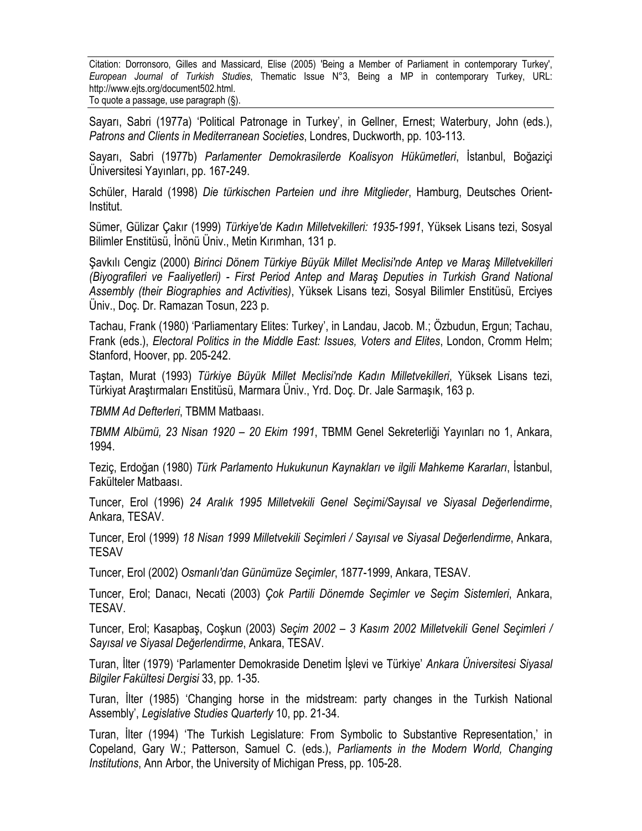Sayarı, Sabri (1977a) 'Political Patronage in Turkey', in Gellner, Ernest; Waterbury, John (eds.), *Patrons and Clients in Mediterranean Societies*, Londres, Duckworth, pp. 103-113.

Sayarı, Sabri (1977b) *Parlamenter Demokrasilerde Koalisyon Hükümetleri*, İstanbul, Boğaziçi Üniversitesi Yayınları, pp. 167-249.

Schüler, Harald (1998) *Die türkischen Parteien und ihre Mitglieder*, Hamburg, Deutsches Orient-Institut.

Sümer, Gülizar Çakır (1999) *Türkiye'de Kadın Milletvekilleri: 1935-1991*, Yüksek Lisans tezi, Sosyal Bilimler Enstitüsü, İnönü Üniv., Metin Kırımhan, 131 p.

Şavkılı Cengiz (2000) *Birinci Dönem Türkiye Büyük Millet Meclisi'nde Antep ve Maraş Milletvekilleri (Biyografileri ve Faaliyetleri) - First Period Antep and Maraş Deputies in Turkish Grand National Assembly (their Biographies and Activities)*, Yüksek Lisans tezi, Sosyal Bilimler Enstitüsü, Erciyes Üniv., Doç. Dr. Ramazan Tosun, 223 p.

Tachau, Frank (1980) 'Parliamentary Elites: Turkey', in Landau, Jacob. M.; Özbudun, Ergun; Tachau, Frank (eds.), *Electoral Politics in the Middle East: Issues, Voters and Elites*, London, Cromm Helm; Stanford, Hoover, pp. 205-242.

Taştan, Murat (1993) *Türkiye Büyük Millet Meclisi'nde Kadın Milletvekilleri*, Yüksek Lisans tezi, Türkiyat Araştırmaları Enstitüsü, Marmara Üniv., Yrd. Doç. Dr. Jale Sarmaşık, 163 p.

*TBMM Ad Defterleri*, TBMM Matbaası.

*TBMM Albümü, 23 Nisan 1920 – 20 Ekim 1991*, TBMM Genel Sekreterliği Yayınları no 1, Ankara, 1994.

Teziç, Erdoğan (1980) *Türk Parlamento Hukukunun Kaynakları ve ilgili Mahkeme Kararları*, İstanbul, Fakülteler Matbaası.

Tuncer, Erol (1996) *24 Aralık 1995 Milletvekili Genel Seçimi/Sayısal ve Siyasal Değerlendirme*, Ankara, TESAV.

Tuncer, Erol (1999) *18 Nisan 1999 Milletvekili Seçimleri / Sayısal ve Siyasal Değerlendirme*, Ankara, TESAV

Tuncer, Erol (2002) *Osmanlı'dan Günümüze Seçimler*, 1877-1999, Ankara, TESAV.

Tuncer, Erol; Danacı, Necati (2003) *Çok Partili Dönemde Seçimler ve Seçim Sistemleri*, Ankara, TESAV.

Tuncer, Erol; Kasapbaş, Coşkun (2003) *Seçim 2002 – 3 Kasım 2002 Milletvekili Genel Seçimleri / Sayısal ve Siyasal Değerlendirme*, Ankara, TESAV.

Turan, İlter (1979) 'Parlamenter Demokraside Denetim İşlevi ve Türkiye' *Ankara Üniversitesi Siyasal Bilgiler Fakültesi Dergisi* 33, pp. 1-35.

Turan, İlter (1985) 'Changing horse in the midstream: party changes in the Turkish National Assembly', *Legislative Studies Quarterly* 10, pp. 21-34.

Turan, İlter (1994) 'The Turkish Legislature: From Symbolic to Substantive Representation,' in Copeland, Gary W.; Patterson, Samuel C. (eds.), *Parliaments in the Modern World, Changing Institutions*, Ann Arbor, the University of Michigan Press, pp. 105-28.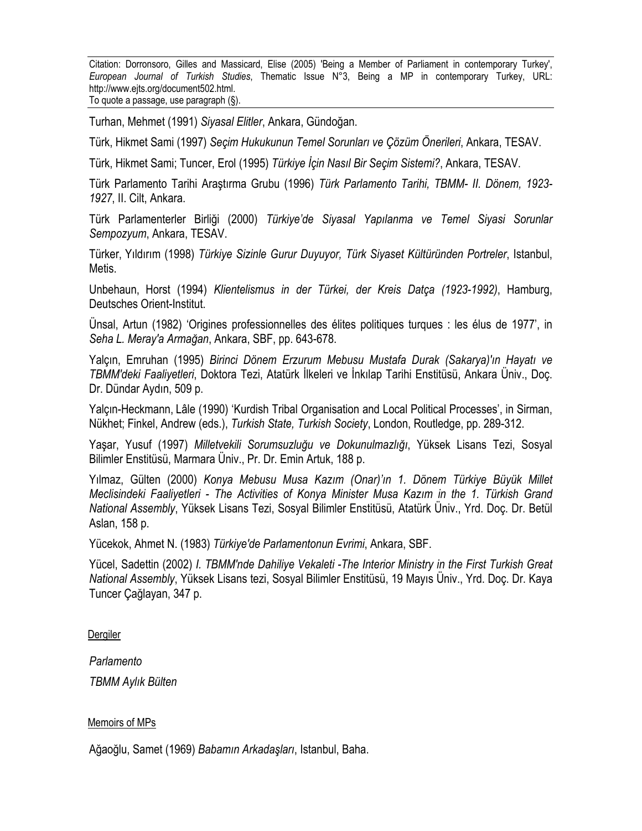Turhan, Mehmet (1991) *Siyasal Elitler*, Ankara, Gündoğan.

Türk, Hikmet Sami (1997) *Seçim Hukukunun Temel Sorunları ve Çözüm Önerileri*, Ankara, TESAV.

Türk, Hikmet Sami; Tuncer, Erol (1995) *Türkiye İçin Nasıl Bir Seçim Sistemi?*, Ankara, TESAV.

Türk Parlamento Tarihi Araştırma Grubu (1996) *Türk Parlamento Tarihi, TBMM- II. Dönem, 1923- 1927*, II. Cilt, Ankara.

Türk Parlamenterler Birliği (2000) *Türkiye'de Siyasal Yapılanma ve Temel Siyasi Sorunlar Sempozyum*, Ankara, TESAV.

Türker, Yıldırım (1998) *Türkiye Sizinle Gurur Duyuyor, Türk Siyaset Kültüründen Portreler*, Istanbul, Metis.

Unbehaun, Horst (1994) *Klientelismus in der Türkei, der Kreis Datça (1923-1992)*, Hamburg, Deutsches Orient-Institut.

Ünsal, Artun (1982) 'Origines professionnelles des élites politiques turques : les élus de 1977', in *Seha L. Meray'a Armağan*, Ankara, SBF, pp. 643-678.

Yalçın, Emruhan (1995) *Birinci Dönem Erzurum Mebusu Mustafa Durak (Sakarya)'ın Hayatı ve TBMM'deki Faaliyetleri*, Doktora Tezi, Atatürk İlkeleri ve İnkılap Tarihi Enstitüsü, Ankara Üniv., Doç. Dr. Dündar Aydın, 509 p.

Yalçın-Heckmann, Lâle (1990) 'Kurdish Tribal Organisation and Local Political Processes', in Sirman, Nükhet; Finkel, Andrew (eds.), *Turkish State, Turkish Society*, London, Routledge, pp. 289-312.

Yaşar, Yusuf (1997) *Milletvekili Sorumsuzluğu ve Dokunulmazlığı*, Yüksek Lisans Tezi, Sosyal Bilimler Enstitüsü, Marmara Üniv., Pr. Dr. Emin Artuk, 188 p.

Yılmaz, Gülten (2000) *Konya Mebusu Musa Kazım (Onar)'ın 1. Dönem Türkiye Büyük Millet Meclisindeki Faaliyetleri - The Activities of Konya Minister Musa Kazım in the 1. Türkish Grand National Assembly*, Yüksek Lisans Tezi, Sosyal Bilimler Enstitüsü, Atatürk Üniv., Yrd. Doç. Dr. Betül Aslan, 158 p.

Yücekok, Ahmet N. (1983) *Türkiye'de Parlamentonun Evrimi*, Ankara, SBF.

Yücel, Sadettin (2002) *I. TBMM'nde Dahiliye Vekaleti -The Interior Ministry in the First Turkish Great National Assembly*, Yüksek Lisans tezi, Sosyal Bilimler Enstitüsü, 19 Mayıs Üniv., Yrd. Doç. Dr. Kaya Tuncer Çağlayan, 347 p.

Dergiler

*Parlamento* 

*TBMM Aylık Bülten* 

#### Memoirs of MPs

Ağaoğlu, Samet (1969) *Babamın Arkadaşları*, Istanbul, Baha.